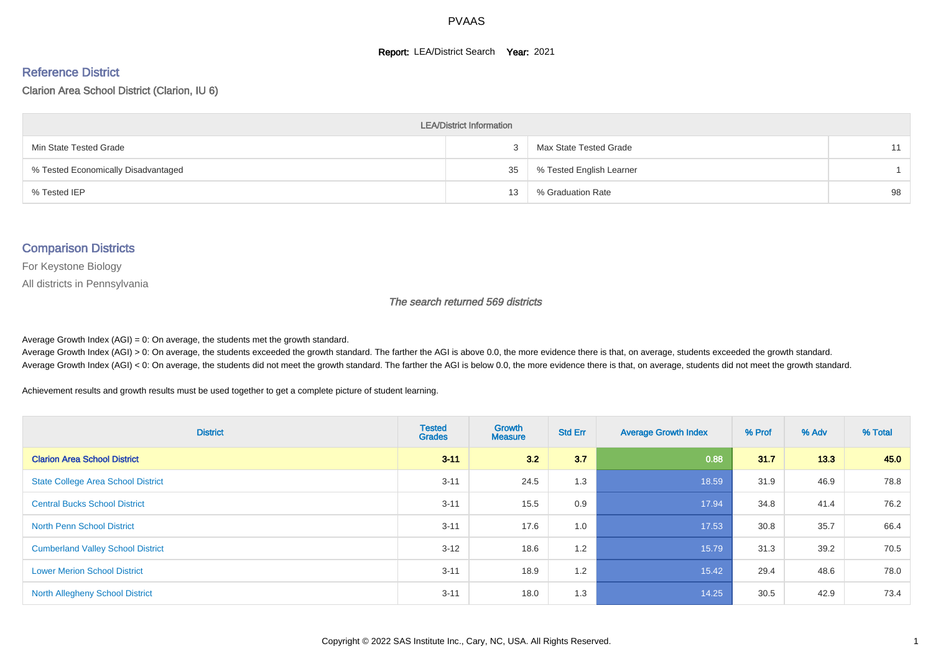#### **Report: LEA/District Search Year: 2021**

#### Reference District

#### Clarion Area School District (Clarion, IU 6)

| <b>LEA/District Information</b>     |    |                          |    |  |  |  |  |  |  |  |
|-------------------------------------|----|--------------------------|----|--|--|--|--|--|--|--|
| Min State Tested Grade              |    | Max State Tested Grade   | 11 |  |  |  |  |  |  |  |
| % Tested Economically Disadvantaged | 35 | % Tested English Learner |    |  |  |  |  |  |  |  |
| % Tested IEP                        | 13 | % Graduation Rate        | 98 |  |  |  |  |  |  |  |

#### Comparison Districts

For Keystone Biology

All districts in Pennsylvania

The search returned 569 districts

Average Growth Index  $(AGI) = 0$ : On average, the students met the growth standard.

Average Growth Index (AGI) > 0: On average, the students exceeded the growth standard. The farther the AGI is above 0.0, the more evidence there is that, on average, students exceeded the growth standard. Average Growth Index (AGI) < 0: On average, the students did not meet the growth standard. The farther the AGI is below 0.0, the more evidence there is that, on average, students did not meet the growth standard.

Achievement results and growth results must be used together to get a complete picture of student learning.

| <b>District</b>                           | <b>Tested</b><br><b>Grades</b> | <b>Growth</b><br><b>Measure</b> | <b>Std Err</b> | <b>Average Growth Index</b> | % Prof | % Adv | % Total |
|-------------------------------------------|--------------------------------|---------------------------------|----------------|-----------------------------|--------|-------|---------|
| <b>Clarion Area School District</b>       | $3 - 11$                       | 3.2                             | 3.7            | 0.88                        | 31.7   | 13.3  | 45.0    |
| <b>State College Area School District</b> | $3 - 11$                       | 24.5                            | 1.3            | 18.59                       | 31.9   | 46.9  | 78.8    |
| <b>Central Bucks School District</b>      | $3 - 11$                       | 15.5                            | 0.9            | 17.94                       | 34.8   | 41.4  | 76.2    |
| <b>North Penn School District</b>         | $3 - 11$                       | 17.6                            | 1.0            | 17.53                       | 30.8   | 35.7  | 66.4    |
| <b>Cumberland Valley School District</b>  | $3 - 12$                       | 18.6                            | 1.2            | 15.79                       | 31.3   | 39.2  | 70.5    |
| <b>Lower Merion School District</b>       | $3 - 11$                       | 18.9                            | 1.2            | 15.42                       | 29.4   | 48.6  | 78.0    |
| <b>North Allegheny School District</b>    | $3 - 11$                       | 18.0                            | 1.3            | 14.25                       | 30.5   | 42.9  | 73.4    |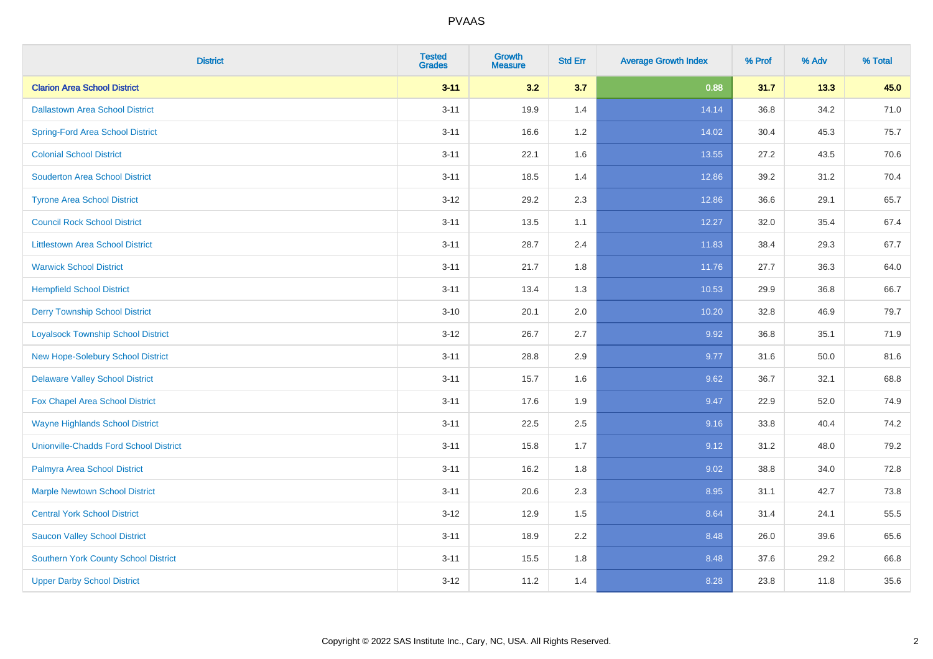| <b>District</b>                               | <b>Tested</b><br><b>Grades</b> | Growth<br><b>Measure</b> | <b>Std Err</b> | <b>Average Growth Index</b> | % Prof | % Adv | % Total |
|-----------------------------------------------|--------------------------------|--------------------------|----------------|-----------------------------|--------|-------|---------|
| <b>Clarion Area School District</b>           | $3 - 11$                       | 3.2                      | 3.7            | 0.88                        | 31.7   | 13.3  | 45.0    |
| <b>Dallastown Area School District</b>        | $3 - 11$                       | 19.9                     | 1.4            | 14.14                       | 36.8   | 34.2  | 71.0    |
| <b>Spring-Ford Area School District</b>       | $3 - 11$                       | 16.6                     | 1.2            | 14.02                       | 30.4   | 45.3  | 75.7    |
| <b>Colonial School District</b>               | $3 - 11$                       | 22.1                     | 1.6            | 13.55                       | 27.2   | 43.5  | 70.6    |
| <b>Souderton Area School District</b>         | $3 - 11$                       | 18.5                     | 1.4            | 12.86                       | 39.2   | 31.2  | 70.4    |
| <b>Tyrone Area School District</b>            | $3 - 12$                       | 29.2                     | 2.3            | 12.86                       | 36.6   | 29.1  | 65.7    |
| <b>Council Rock School District</b>           | $3 - 11$                       | 13.5                     | 1.1            | 12.27                       | 32.0   | 35.4  | 67.4    |
| <b>Littlestown Area School District</b>       | $3 - 11$                       | 28.7                     | 2.4            | 11.83                       | 38.4   | 29.3  | 67.7    |
| <b>Warwick School District</b>                | $3 - 11$                       | 21.7                     | 1.8            | 11.76                       | 27.7   | 36.3  | 64.0    |
| <b>Hempfield School District</b>              | $3 - 11$                       | 13.4                     | 1.3            | 10.53                       | 29.9   | 36.8  | 66.7    |
| <b>Derry Township School District</b>         | $3 - 10$                       | 20.1                     | 2.0            | 10.20                       | 32.8   | 46.9  | 79.7    |
| <b>Loyalsock Township School District</b>     | $3 - 12$                       | 26.7                     | 2.7            | 9.92                        | 36.8   | 35.1  | 71.9    |
| New Hope-Solebury School District             | $3 - 11$                       | 28.8                     | 2.9            | 9.77                        | 31.6   | 50.0  | 81.6    |
| <b>Delaware Valley School District</b>        | $3 - 11$                       | 15.7                     | 1.6            | 9.62                        | 36.7   | 32.1  | 68.8    |
| Fox Chapel Area School District               | $3 - 11$                       | 17.6                     | 1.9            | 9.47                        | 22.9   | 52.0  | 74.9    |
| <b>Wayne Highlands School District</b>        | $3 - 11$                       | 22.5                     | 2.5            | 9.16                        | 33.8   | 40.4  | 74.2    |
| <b>Unionville-Chadds Ford School District</b> | $3 - 11$                       | 15.8                     | 1.7            | 9.12                        | 31.2   | 48.0  | 79.2    |
| Palmyra Area School District                  | $3 - 11$                       | 16.2                     | 1.8            | 9.02                        | 38.8   | 34.0  | 72.8    |
| <b>Marple Newtown School District</b>         | $3 - 11$                       | 20.6                     | 2.3            | 8.95                        | 31.1   | 42.7  | 73.8    |
| <b>Central York School District</b>           | $3 - 12$                       | 12.9                     | 1.5            | 8.64                        | 31.4   | 24.1  | 55.5    |
| <b>Saucon Valley School District</b>          | $3 - 11$                       | 18.9                     | 2.2            | 8.48                        | 26.0   | 39.6  | 65.6    |
| <b>Southern York County School District</b>   | $3 - 11$                       | 15.5                     | 1.8            | 8.48                        | 37.6   | 29.2  | 66.8    |
| <b>Upper Darby School District</b>            | $3-12$                         | 11.2                     | 1.4            | 8.28                        | 23.8   | 11.8  | 35.6    |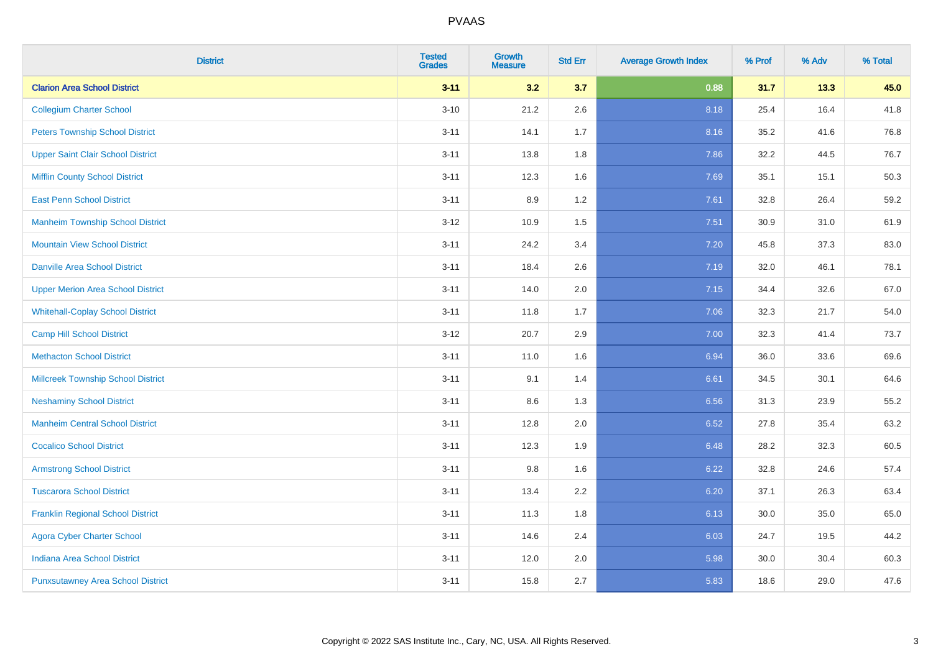| <b>District</b>                           | <b>Tested</b><br><b>Grades</b> | <b>Growth</b><br><b>Measure</b> | <b>Std Err</b> | <b>Average Growth Index</b> | % Prof | % Adv | % Total |
|-------------------------------------------|--------------------------------|---------------------------------|----------------|-----------------------------|--------|-------|---------|
| <b>Clarion Area School District</b>       | $3 - 11$                       | 3.2                             | 3.7            | 0.88                        | 31.7   | 13.3  | 45.0    |
| <b>Collegium Charter School</b>           | $3 - 10$                       | 21.2                            | 2.6            | 8.18                        | 25.4   | 16.4  | 41.8    |
| <b>Peters Township School District</b>    | $3 - 11$                       | 14.1                            | 1.7            | 8.16                        | 35.2   | 41.6  | 76.8    |
| <b>Upper Saint Clair School District</b>  | $3 - 11$                       | 13.8                            | 1.8            | 7.86                        | 32.2   | 44.5  | 76.7    |
| <b>Mifflin County School District</b>     | $3 - 11$                       | 12.3                            | 1.6            | 7.69                        | 35.1   | 15.1  | 50.3    |
| <b>East Penn School District</b>          | $3 - 11$                       | 8.9                             | 1.2            | 7.61                        | 32.8   | 26.4  | 59.2    |
| <b>Manheim Township School District</b>   | $3 - 12$                       | 10.9                            | 1.5            | 7.51                        | 30.9   | 31.0  | 61.9    |
| <b>Mountain View School District</b>      | $3 - 11$                       | 24.2                            | 3.4            | 7.20                        | 45.8   | 37.3  | 83.0    |
| <b>Danville Area School District</b>      | $3 - 11$                       | 18.4                            | 2.6            | 7.19                        | 32.0   | 46.1  | 78.1    |
| <b>Upper Merion Area School District</b>  | $3 - 11$                       | 14.0                            | 2.0            | 7.15                        | 34.4   | 32.6  | 67.0    |
| <b>Whitehall-Coplay School District</b>   | $3 - 11$                       | 11.8                            | 1.7            | 7.06                        | 32.3   | 21.7  | 54.0    |
| <b>Camp Hill School District</b>          | $3-12$                         | 20.7                            | 2.9            | 7.00                        | 32.3   | 41.4  | 73.7    |
| <b>Methacton School District</b>          | $3 - 11$                       | 11.0                            | 1.6            | 6.94                        | 36.0   | 33.6  | 69.6    |
| <b>Millcreek Township School District</b> | $3 - 11$                       | 9.1                             | 1.4            | 6.61                        | 34.5   | 30.1  | 64.6    |
| <b>Neshaminy School District</b>          | $3 - 11$                       | 8.6                             | 1.3            | 6.56                        | 31.3   | 23.9  | 55.2    |
| <b>Manheim Central School District</b>    | $3 - 11$                       | 12.8                            | 2.0            | 6.52                        | 27.8   | 35.4  | 63.2    |
| <b>Cocalico School District</b>           | $3 - 11$                       | 12.3                            | 1.9            | 6.48                        | 28.2   | 32.3  | 60.5    |
| <b>Armstrong School District</b>          | $3 - 11$                       | 9.8                             | 1.6            | 6.22                        | 32.8   | 24.6  | 57.4    |
| <b>Tuscarora School District</b>          | $3 - 11$                       | 13.4                            | 2.2            | 6.20                        | 37.1   | 26.3  | 63.4    |
| <b>Franklin Regional School District</b>  | $3 - 11$                       | 11.3                            | 1.8            | 6.13                        | 30.0   | 35.0  | 65.0    |
| <b>Agora Cyber Charter School</b>         | $3 - 11$                       | 14.6                            | 2.4            | 6.03                        | 24.7   | 19.5  | 44.2    |
| <b>Indiana Area School District</b>       | $3 - 11$                       | 12.0                            | 2.0            | 5.98                        | 30.0   | 30.4  | 60.3    |
| <b>Punxsutawney Area School District</b>  | $3 - 11$                       | 15.8                            | 2.7            | 5.83                        | 18.6   | 29.0  | 47.6    |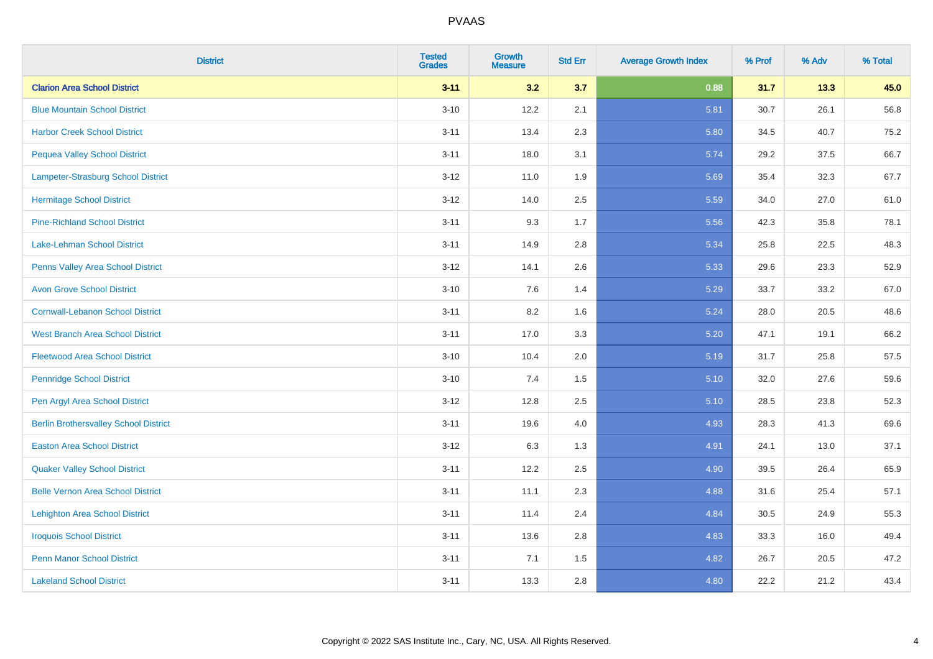| <b>District</b>                              | <b>Tested</b><br><b>Grades</b> | <b>Growth</b><br><b>Measure</b> | <b>Std Err</b> | <b>Average Growth Index</b> | % Prof | % Adv | % Total |
|----------------------------------------------|--------------------------------|---------------------------------|----------------|-----------------------------|--------|-------|---------|
| <b>Clarion Area School District</b>          | $3 - 11$                       | 3.2                             | 3.7            | 0.88                        | 31.7   | 13.3  | 45.0    |
| <b>Blue Mountain School District</b>         | $3 - 10$                       | 12.2                            | 2.1            | 5.81                        | 30.7   | 26.1  | 56.8    |
| <b>Harbor Creek School District</b>          | $3 - 11$                       | 13.4                            | 2.3            | 5.80                        | 34.5   | 40.7  | 75.2    |
| <b>Pequea Valley School District</b>         | $3 - 11$                       | 18.0                            | 3.1            | 5.74                        | 29.2   | 37.5  | 66.7    |
| Lampeter-Strasburg School District           | $3 - 12$                       | 11.0                            | 1.9            | 5.69                        | 35.4   | 32.3  | 67.7    |
| <b>Hermitage School District</b>             | $3 - 12$                       | 14.0                            | 2.5            | 5.59                        | 34.0   | 27.0  | 61.0    |
| <b>Pine-Richland School District</b>         | $3 - 11$                       | 9.3                             | 1.7            | 5.56                        | 42.3   | 35.8  | 78.1    |
| <b>Lake-Lehman School District</b>           | $3 - 11$                       | 14.9                            | 2.8            | 5.34                        | 25.8   | 22.5  | 48.3    |
| Penns Valley Area School District            | $3 - 12$                       | 14.1                            | 2.6            | 5.33                        | 29.6   | 23.3  | 52.9    |
| <b>Avon Grove School District</b>            | $3 - 10$                       | 7.6                             | 1.4            | 5.29                        | 33.7   | 33.2  | 67.0    |
| <b>Cornwall-Lebanon School District</b>      | $3 - 11$                       | 8.2                             | 1.6            | 5.24                        | 28.0   | 20.5  | 48.6    |
| <b>West Branch Area School District</b>      | $3 - 11$                       | 17.0                            | 3.3            | 5.20                        | 47.1   | 19.1  | 66.2    |
| <b>Fleetwood Area School District</b>        | $3 - 10$                       | 10.4                            | 2.0            | 5.19                        | 31.7   | 25.8  | 57.5    |
| <b>Pennridge School District</b>             | $3 - 10$                       | 7.4                             | 1.5            | 5.10                        | 32.0   | 27.6  | 59.6    |
| Pen Argyl Area School District               | $3 - 12$                       | 12.8                            | 2.5            | 5.10                        | 28.5   | 23.8  | 52.3    |
| <b>Berlin Brothersvalley School District</b> | $3 - 11$                       | 19.6                            | 4.0            | 4.93                        | 28.3   | 41.3  | 69.6    |
| <b>Easton Area School District</b>           | $3 - 12$                       | 6.3                             | 1.3            | 4.91                        | 24.1   | 13.0  | 37.1    |
| <b>Quaker Valley School District</b>         | $3 - 11$                       | 12.2                            | 2.5            | 4.90                        | 39.5   | 26.4  | 65.9    |
| <b>Belle Vernon Area School District</b>     | $3 - 11$                       | 11.1                            | 2.3            | 4.88                        | 31.6   | 25.4  | 57.1    |
| <b>Lehighton Area School District</b>        | $3 - 11$                       | 11.4                            | 2.4            | 4.84                        | 30.5   | 24.9  | 55.3    |
| <b>Iroquois School District</b>              | $3 - 11$                       | 13.6                            | 2.8            | 4.83                        | 33.3   | 16.0  | 49.4    |
| <b>Penn Manor School District</b>            | $3 - 11$                       | 7.1                             | 1.5            | 4.82                        | 26.7   | 20.5  | 47.2    |
| <b>Lakeland School District</b>              | $3 - 11$                       | 13.3                            | 2.8            | 4.80                        | 22.2   | 21.2  | 43.4    |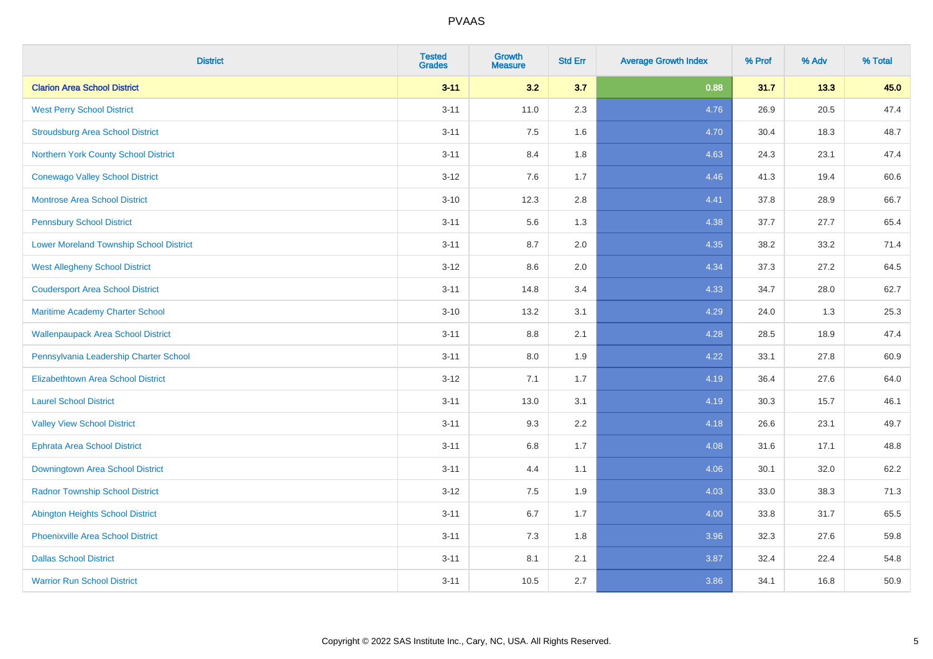| <b>District</b>                                | <b>Tested</b><br><b>Grades</b> | <b>Growth</b><br><b>Measure</b> | <b>Std Err</b> | <b>Average Growth Index</b> | % Prof | % Adv | % Total |
|------------------------------------------------|--------------------------------|---------------------------------|----------------|-----------------------------|--------|-------|---------|
| <b>Clarion Area School District</b>            | $3 - 11$                       | 3.2                             | 3.7            | 0.88                        | 31.7   | 13.3  | 45.0    |
| <b>West Perry School District</b>              | $3 - 11$                       | 11.0                            | 2.3            | 4.76                        | 26.9   | 20.5  | 47.4    |
| <b>Stroudsburg Area School District</b>        | $3 - 11$                       | 7.5                             | 1.6            | 4.70                        | 30.4   | 18.3  | 48.7    |
| Northern York County School District           | $3 - 11$                       | 8.4                             | 1.8            | 4.63                        | 24.3   | 23.1  | 47.4    |
| <b>Conewago Valley School District</b>         | $3 - 12$                       | 7.6                             | 1.7            | 4.46                        | 41.3   | 19.4  | 60.6    |
| <b>Montrose Area School District</b>           | $3 - 10$                       | 12.3                            | 2.8            | 4.41                        | 37.8   | 28.9  | 66.7    |
| <b>Pennsbury School District</b>               | $3 - 11$                       | 5.6                             | 1.3            | 4.38                        | 37.7   | 27.7  | 65.4    |
| <b>Lower Moreland Township School District</b> | $3 - 11$                       | 8.7                             | 2.0            | 4.35                        | 38.2   | 33.2  | 71.4    |
| <b>West Allegheny School District</b>          | $3 - 12$                       | 8.6                             | 2.0            | 4.34                        | 37.3   | 27.2  | 64.5    |
| <b>Coudersport Area School District</b>        | $3 - 11$                       | 14.8                            | 3.4            | 4.33                        | 34.7   | 28.0  | 62.7    |
| Maritime Academy Charter School                | $3 - 10$                       | 13.2                            | 3.1            | 4.29                        | 24.0   | 1.3   | 25.3    |
| <b>Wallenpaupack Area School District</b>      | $3 - 11$                       | 8.8                             | 2.1            | 4.28                        | 28.5   | 18.9  | 47.4    |
| Pennsylvania Leadership Charter School         | $3 - 11$                       | 8.0                             | 1.9            | 4.22                        | 33.1   | 27.8  | 60.9    |
| <b>Elizabethtown Area School District</b>      | $3 - 12$                       | 7.1                             | 1.7            | 4.19                        | 36.4   | 27.6  | 64.0    |
| <b>Laurel School District</b>                  | $3 - 11$                       | 13.0                            | 3.1            | 4.19                        | 30.3   | 15.7  | 46.1    |
| <b>Valley View School District</b>             | $3 - 11$                       | 9.3                             | 2.2            | 4.18                        | 26.6   | 23.1  | 49.7    |
| <b>Ephrata Area School District</b>            | $3 - 11$                       | $6.8\,$                         | 1.7            | 4.08                        | 31.6   | 17.1  | 48.8    |
| Downingtown Area School District               | $3 - 11$                       | 4.4                             | 1.1            | 4.06                        | 30.1   | 32.0  | 62.2    |
| <b>Radnor Township School District</b>         | $3 - 12$                       | 7.5                             | 1.9            | 4.03                        | 33.0   | 38.3  | 71.3    |
| <b>Abington Heights School District</b>        | $3 - 11$                       | $6.7\,$                         | 1.7            | 4.00                        | 33.8   | 31.7  | 65.5    |
| Phoenixville Area School District              | $3 - 11$                       | 7.3                             | 1.8            | 3.96                        | 32.3   | 27.6  | 59.8    |
| <b>Dallas School District</b>                  | $3 - 11$                       | 8.1                             | 2.1            | 3.87                        | 32.4   | 22.4  | 54.8    |
| <b>Warrior Run School District</b>             | $3 - 11$                       | 10.5                            | 2.7            | 3.86                        | 34.1   | 16.8  | 50.9    |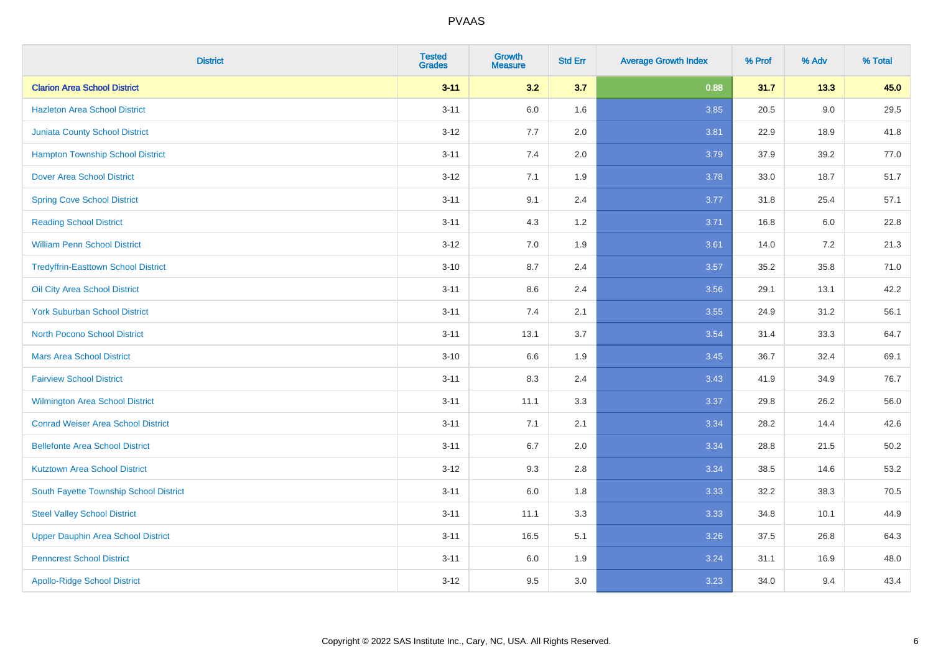| <b>District</b>                            | <b>Tested</b><br><b>Grades</b> | Growth<br><b>Measure</b> | <b>Std Err</b> | <b>Average Growth Index</b> | % Prof | % Adv   | % Total |
|--------------------------------------------|--------------------------------|--------------------------|----------------|-----------------------------|--------|---------|---------|
| <b>Clarion Area School District</b>        | $3 - 11$                       | 3.2                      | 3.7            | 0.88                        | 31.7   | 13.3    | 45.0    |
| <b>Hazleton Area School District</b>       | $3 - 11$                       | 6.0                      | 1.6            | 3.85                        | 20.5   | 9.0     | 29.5    |
| <b>Juniata County School District</b>      | $3 - 12$                       | 7.7                      | 2.0            | 3.81                        | 22.9   | 18.9    | 41.8    |
| <b>Hampton Township School District</b>    | $3 - 11$                       | 7.4                      | 2.0            | 3.79                        | 37.9   | 39.2    | 77.0    |
| <b>Dover Area School District</b>          | $3 - 12$                       | 7.1                      | 1.9            | 3.78                        | 33.0   | 18.7    | 51.7    |
| <b>Spring Cove School District</b>         | $3 - 11$                       | 9.1                      | 2.4            | 3.77                        | 31.8   | 25.4    | 57.1    |
| <b>Reading School District</b>             | $3 - 11$                       | 4.3                      | 1.2            | 3.71                        | 16.8   | $6.0\,$ | 22.8    |
| <b>William Penn School District</b>        | $3 - 12$                       | 7.0                      | 1.9            | 3.61                        | 14.0   | 7.2     | 21.3    |
| <b>Tredyffrin-Easttown School District</b> | $3 - 10$                       | 8.7                      | 2.4            | 3.57                        | 35.2   | 35.8    | 71.0    |
| Oil City Area School District              | $3 - 11$                       | 8.6                      | 2.4            | 3.56                        | 29.1   | 13.1    | 42.2    |
| <b>York Suburban School District</b>       | $3 - 11$                       | 7.4                      | 2.1            | 3.55                        | 24.9   | 31.2    | 56.1    |
| <b>North Pocono School District</b>        | $3 - 11$                       | 13.1                     | 3.7            | 3.54                        | 31.4   | 33.3    | 64.7    |
| <b>Mars Area School District</b>           | $3 - 10$                       | 6.6                      | 1.9            | 3.45                        | 36.7   | 32.4    | 69.1    |
| <b>Fairview School District</b>            | $3 - 11$                       | 8.3                      | 2.4            | 3.43                        | 41.9   | 34.9    | 76.7    |
| <b>Wilmington Area School District</b>     | $3 - 11$                       | 11.1                     | 3.3            | 3.37                        | 29.8   | 26.2    | 56.0    |
| <b>Conrad Weiser Area School District</b>  | $3 - 11$                       | 7.1                      | 2.1            | 3.34                        | 28.2   | 14.4    | 42.6    |
| <b>Bellefonte Area School District</b>     | $3 - 11$                       | 6.7                      | 2.0            | 3.34                        | 28.8   | 21.5    | 50.2    |
| <b>Kutztown Area School District</b>       | $3 - 12$                       | 9.3                      | 2.8            | 3.34                        | 38.5   | 14.6    | 53.2    |
| South Fayette Township School District     | $3 - 11$                       | 6.0                      | 1.8            | 3.33                        | 32.2   | 38.3    | 70.5    |
| <b>Steel Valley School District</b>        | $3 - 11$                       | 11.1                     | 3.3            | 3.33                        | 34.8   | 10.1    | 44.9    |
| <b>Upper Dauphin Area School District</b>  | $3 - 11$                       | 16.5                     | 5.1            | 3.26                        | 37.5   | 26.8    | 64.3    |
| <b>Penncrest School District</b>           | $3 - 11$                       | 6.0                      | 1.9            | 3.24                        | 31.1   | 16.9    | 48.0    |
| <b>Apollo-Ridge School District</b>        | $3 - 12$                       | 9.5                      | 3.0            | 3.23                        | 34.0   | 9.4     | 43.4    |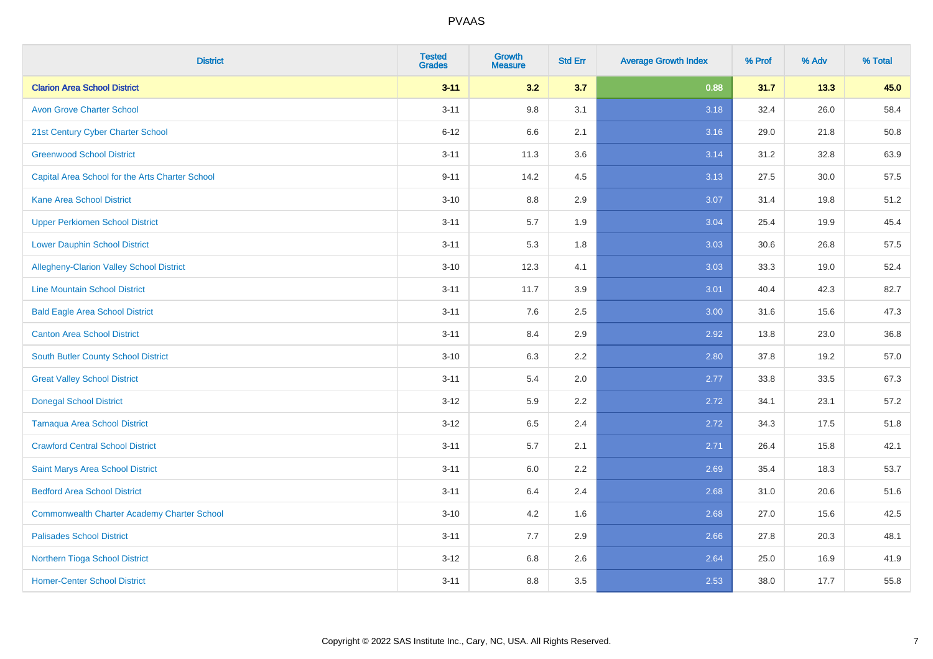| <b>District</b>                                    | <b>Tested</b><br><b>Grades</b> | <b>Growth</b><br><b>Measure</b> | <b>Std Err</b> | <b>Average Growth Index</b> | % Prof | % Adv | % Total |
|----------------------------------------------------|--------------------------------|---------------------------------|----------------|-----------------------------|--------|-------|---------|
| <b>Clarion Area School District</b>                | $3 - 11$                       | 3.2                             | 3.7            | 0.88                        | 31.7   | 13.3  | 45.0    |
| <b>Avon Grove Charter School</b>                   | $3 - 11$                       | 9.8                             | 3.1            | 3.18                        | 32.4   | 26.0  | 58.4    |
| 21st Century Cyber Charter School                  | $6 - 12$                       | 6.6                             | 2.1            | 3.16                        | 29.0   | 21.8  | 50.8    |
| <b>Greenwood School District</b>                   | $3 - 11$                       | 11.3                            | 3.6            | 3.14                        | 31.2   | 32.8  | 63.9    |
| Capital Area School for the Arts Charter School    | $9 - 11$                       | 14.2                            | 4.5            | 3.13                        | 27.5   | 30.0  | 57.5    |
| <b>Kane Area School District</b>                   | $3 - 10$                       | 8.8                             | 2.9            | 3.07                        | 31.4   | 19.8  | 51.2    |
| <b>Upper Perkiomen School District</b>             | $3 - 11$                       | 5.7                             | 1.9            | 3.04                        | 25.4   | 19.9  | 45.4    |
| <b>Lower Dauphin School District</b>               | $3 - 11$                       | 5.3                             | 1.8            | 3.03                        | 30.6   | 26.8  | 57.5    |
| Allegheny-Clarion Valley School District           | $3 - 10$                       | 12.3                            | 4.1            | 3.03                        | 33.3   | 19.0  | 52.4    |
| <b>Line Mountain School District</b>               | $3 - 11$                       | 11.7                            | 3.9            | 3.01                        | 40.4   | 42.3  | 82.7    |
| <b>Bald Eagle Area School District</b>             | $3 - 11$                       | 7.6                             | 2.5            | 3.00                        | 31.6   | 15.6  | 47.3    |
| <b>Canton Area School District</b>                 | $3 - 11$                       | 8.4                             | 2.9            | 2.92                        | 13.8   | 23.0  | 36.8    |
| <b>South Butler County School District</b>         | $3 - 10$                       | 6.3                             | 2.2            | 2.80                        | 37.8   | 19.2  | 57.0    |
| <b>Great Valley School District</b>                | $3 - 11$                       | 5.4                             | 2.0            | 2.77                        | 33.8   | 33.5  | 67.3    |
| <b>Donegal School District</b>                     | $3 - 12$                       | 5.9                             | 2.2            | 2.72                        | 34.1   | 23.1  | 57.2    |
| <b>Tamaqua Area School District</b>                | $3 - 12$                       | 6.5                             | 2.4            | 2.72                        | 34.3   | 17.5  | 51.8    |
| <b>Crawford Central School District</b>            | $3 - 11$                       | 5.7                             | 2.1            | 2.71                        | 26.4   | 15.8  | 42.1    |
| Saint Marys Area School District                   | $3 - 11$                       | 6.0                             | 2.2            | 2.69                        | 35.4   | 18.3  | 53.7    |
| <b>Bedford Area School District</b>                | $3 - 11$                       | 6.4                             | 2.4            | 2.68                        | 31.0   | 20.6  | 51.6    |
| <b>Commonwealth Charter Academy Charter School</b> | $3 - 10$                       | 4.2                             | 1.6            | 2.68                        | 27.0   | 15.6  | 42.5    |
| <b>Palisades School District</b>                   | $3 - 11$                       | 7.7                             | 2.9            | 2.66                        | 27.8   | 20.3  | 48.1    |
| <b>Northern Tioga School District</b>              | $3 - 12$                       | 6.8                             | 2.6            | 2.64                        | 25.0   | 16.9  | 41.9    |
| <b>Homer-Center School District</b>                | $3 - 11$                       | 8.8                             | 3.5            | 2.53                        | 38.0   | 17.7  | 55.8    |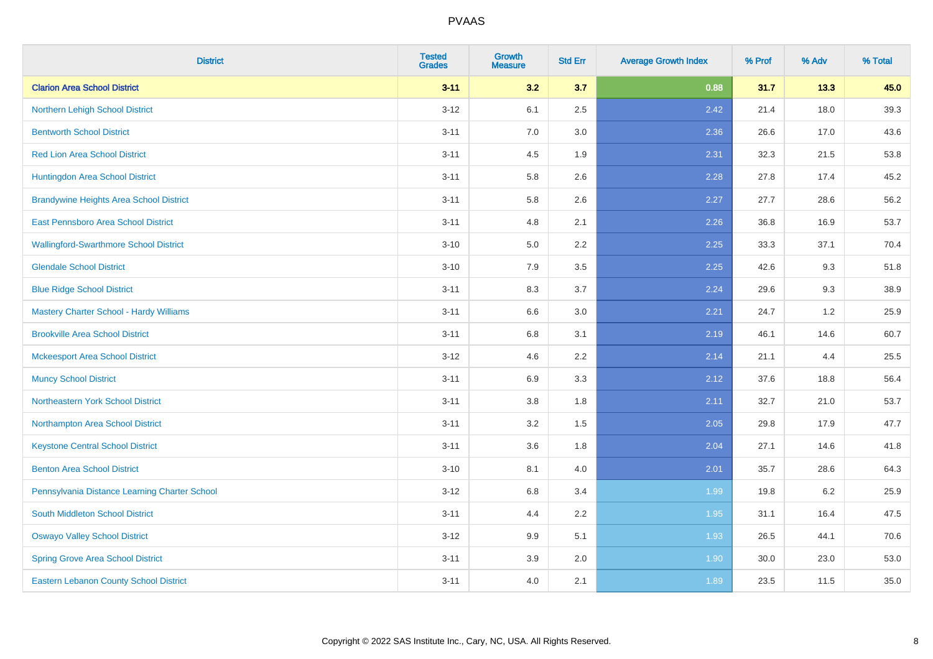| <b>District</b>                                | <b>Tested</b><br><b>Grades</b> | <b>Growth</b><br><b>Measure</b> | <b>Std Err</b> | <b>Average Growth Index</b> | % Prof | % Adv | % Total |
|------------------------------------------------|--------------------------------|---------------------------------|----------------|-----------------------------|--------|-------|---------|
| <b>Clarion Area School District</b>            | $3 - 11$                       | 3.2                             | 3.7            | 0.88                        | 31.7   | 13.3  | 45.0    |
| Northern Lehigh School District                | $3 - 12$                       | 6.1                             | 2.5            | 2.42                        | 21.4   | 18.0  | 39.3    |
| <b>Bentworth School District</b>               | $3 - 11$                       | 7.0                             | 3.0            | 2.36                        | 26.6   | 17.0  | 43.6    |
| <b>Red Lion Area School District</b>           | $3 - 11$                       | 4.5                             | 1.9            | 2.31                        | 32.3   | 21.5  | 53.8    |
| Huntingdon Area School District                | $3 - 11$                       | 5.8                             | 2.6            | 2.28                        | 27.8   | 17.4  | 45.2    |
| <b>Brandywine Heights Area School District</b> | $3 - 11$                       | 5.8                             | 2.6            | 2.27                        | 27.7   | 28.6  | 56.2    |
| East Pennsboro Area School District            | $3 - 11$                       | 4.8                             | 2.1            | 2.26                        | 36.8   | 16.9  | 53.7    |
| <b>Wallingford-Swarthmore School District</b>  | $3 - 10$                       | 5.0                             | 2.2            | 2.25                        | 33.3   | 37.1  | 70.4    |
| <b>Glendale School District</b>                | $3 - 10$                       | 7.9                             | 3.5            | 2.25                        | 42.6   | 9.3   | 51.8    |
| <b>Blue Ridge School District</b>              | $3 - 11$                       | $8.3\,$                         | 3.7            | 2.24                        | 29.6   | 9.3   | 38.9    |
| <b>Mastery Charter School - Hardy Williams</b> | $3 - 11$                       | 6.6                             | 3.0            | 2.21                        | 24.7   | 1.2   | 25.9    |
| <b>Brookville Area School District</b>         | $3 - 11$                       | $6.8\,$                         | 3.1            | 2.19                        | 46.1   | 14.6  | 60.7    |
| <b>Mckeesport Area School District</b>         | $3 - 12$                       | 4.6                             | 2.2            | 2.14                        | 21.1   | 4.4   | 25.5    |
| <b>Muncy School District</b>                   | $3 - 11$                       | 6.9                             | 3.3            | 2.12                        | 37.6   | 18.8  | 56.4    |
| Northeastern York School District              | $3 - 11$                       | $3.8\,$                         | 1.8            | 2.11                        | 32.7   | 21.0  | 53.7    |
| Northampton Area School District               | $3 - 11$                       | 3.2                             | 1.5            | 2.05                        | 29.8   | 17.9  | 47.7    |
| <b>Keystone Central School District</b>        | $3 - 11$                       | 3.6                             | 1.8            | 2.04                        | 27.1   | 14.6  | 41.8    |
| <b>Benton Area School District</b>             | $3 - 10$                       | 8.1                             | 4.0            | 2.01                        | 35.7   | 28.6  | 64.3    |
| Pennsylvania Distance Learning Charter School  | $3 - 12$                       | 6.8                             | 3.4            | 1.99                        | 19.8   | 6.2   | 25.9    |
| <b>South Middleton School District</b>         | $3 - 11$                       | 4.4                             | 2.2            | 1.95                        | 31.1   | 16.4  | 47.5    |
| <b>Oswayo Valley School District</b>           | $3-12$                         | 9.9                             | 5.1            | 1.93                        | 26.5   | 44.1  | 70.6    |
| <b>Spring Grove Area School District</b>       | $3 - 11$                       | 3.9                             | 2.0            | 1.90                        | 30.0   | 23.0  | 53.0    |
| Eastern Lebanon County School District         | $3 - 11$                       | 4.0                             | 2.1            | 1.89                        | 23.5   | 11.5  | 35.0    |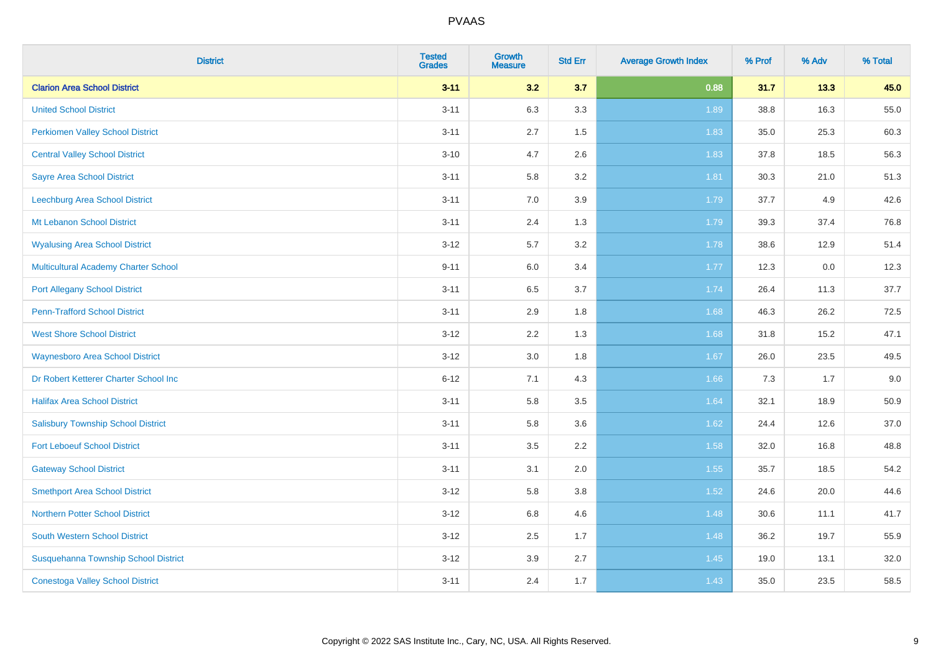| <b>District</b>                             | <b>Tested</b><br><b>Grades</b> | Growth<br><b>Measure</b> | <b>Std Err</b> | <b>Average Growth Index</b> | % Prof | % Adv | % Total |
|---------------------------------------------|--------------------------------|--------------------------|----------------|-----------------------------|--------|-------|---------|
| <b>Clarion Area School District</b>         | $3 - 11$                       | 3.2                      | 3.7            | 0.88                        | 31.7   | 13.3  | 45.0    |
| <b>United School District</b>               | $3 - 11$                       | 6.3                      | 3.3            | 1.89                        | 38.8   | 16.3  | 55.0    |
| <b>Perkiomen Valley School District</b>     | $3 - 11$                       | 2.7                      | 1.5            | 1.83                        | 35.0   | 25.3  | 60.3    |
| <b>Central Valley School District</b>       | $3 - 10$                       | 4.7                      | 2.6            | 1.83                        | 37.8   | 18.5  | 56.3    |
| <b>Sayre Area School District</b>           | $3 - 11$                       | 5.8                      | 3.2            | 1.81                        | 30.3   | 21.0  | 51.3    |
| Leechburg Area School District              | $3 - 11$                       | 7.0                      | 3.9            | 1.79                        | 37.7   | 4.9   | 42.6    |
| Mt Lebanon School District                  | $3 - 11$                       | 2.4                      | 1.3            | 1.79                        | 39.3   | 37.4  | 76.8    |
| <b>Wyalusing Area School District</b>       | $3 - 12$                       | 5.7                      | 3.2            | 1.78                        | 38.6   | 12.9  | 51.4    |
| <b>Multicultural Academy Charter School</b> | $9 - 11$                       | 6.0                      | 3.4            | 1.77                        | 12.3   | 0.0   | 12.3    |
| <b>Port Allegany School District</b>        | $3 - 11$                       | $6.5\,$                  | 3.7            | 1.74                        | 26.4   | 11.3  | 37.7    |
| <b>Penn-Trafford School District</b>        | $3 - 11$                       | 2.9                      | 1.8            | 1.68                        | 46.3   | 26.2  | 72.5    |
| <b>West Shore School District</b>           | $3 - 12$                       | 2.2                      | 1.3            | 1.68                        | 31.8   | 15.2  | 47.1    |
| <b>Waynesboro Area School District</b>      | $3 - 12$                       | 3.0                      | 1.8            | 1.67                        | 26.0   | 23.5  | 49.5    |
| Dr Robert Ketterer Charter School Inc       | $6 - 12$                       | 7.1                      | 4.3            | 1.66                        | 7.3    | 1.7   | 9.0     |
| <b>Halifax Area School District</b>         | $3 - 11$                       | 5.8                      | 3.5            | 1.64                        | 32.1   | 18.9  | 50.9    |
| <b>Salisbury Township School District</b>   | $3 - 11$                       | 5.8                      | 3.6            | 1.62                        | 24.4   | 12.6  | 37.0    |
| <b>Fort Leboeuf School District</b>         | $3 - 11$                       | 3.5                      | 2.2            | 1.58                        | 32.0   | 16.8  | 48.8    |
| <b>Gateway School District</b>              | $3 - 11$                       | 3.1                      | 2.0            | 1.55                        | 35.7   | 18.5  | 54.2    |
| <b>Smethport Area School District</b>       | $3 - 12$                       | 5.8                      | 3.8            | 1.52                        | 24.6   | 20.0  | 44.6    |
| <b>Northern Potter School District</b>      | $3 - 12$                       | 6.8                      | 4.6            | 1.48                        | 30.6   | 11.1  | 41.7    |
| South Western School District               | $3 - 12$                       | 2.5                      | 1.7            | 1.48                        | 36.2   | 19.7  | 55.9    |
| Susquehanna Township School District        | $3 - 12$                       | 3.9                      | 2.7            | 1.45                        | 19.0   | 13.1  | 32.0    |
| <b>Conestoga Valley School District</b>     | $3 - 11$                       | 2.4                      | 1.7            | 1.43                        | 35.0   | 23.5  | 58.5    |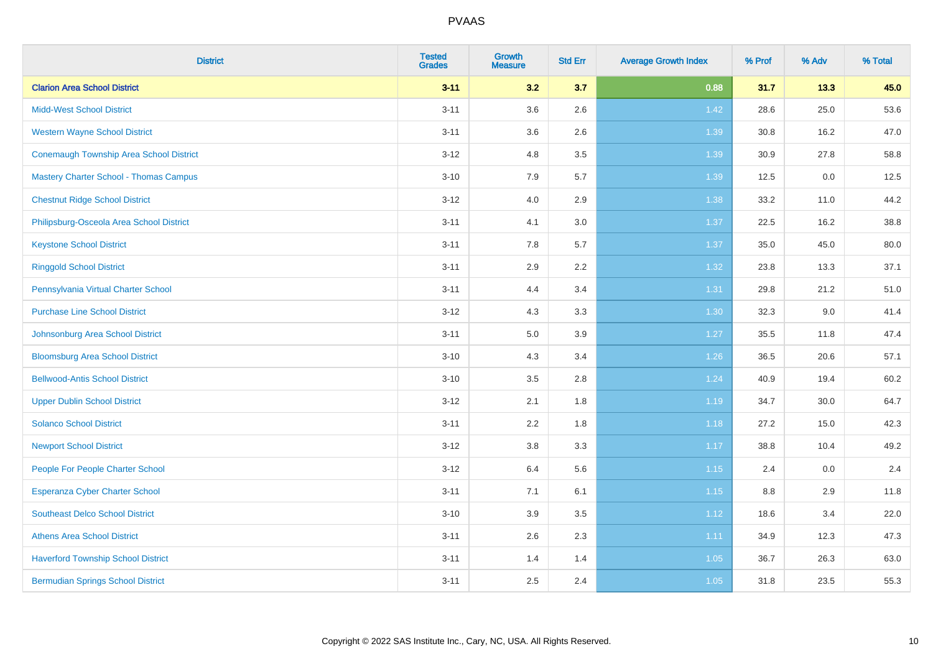| <b>District</b>                                | <b>Tested</b><br><b>Grades</b> | <b>Growth</b><br><b>Measure</b> | <b>Std Err</b> | <b>Average Growth Index</b> | % Prof | % Adv | % Total |
|------------------------------------------------|--------------------------------|---------------------------------|----------------|-----------------------------|--------|-------|---------|
| <b>Clarion Area School District</b>            | $3 - 11$                       | 3.2                             | 3.7            | 0.88                        | 31.7   | 13.3  | 45.0    |
| <b>Midd-West School District</b>               | $3 - 11$                       | 3.6                             | 2.6            | 1.42                        | 28.6   | 25.0  | 53.6    |
| <b>Western Wayne School District</b>           | $3 - 11$                       | 3.6                             | 2.6            | 1.39                        | 30.8   | 16.2  | 47.0    |
| <b>Conemaugh Township Area School District</b> | $3 - 12$                       | 4.8                             | 3.5            | 1.39                        | 30.9   | 27.8  | 58.8    |
| <b>Mastery Charter School - Thomas Campus</b>  | $3 - 10$                       | 7.9                             | 5.7            | 1.39                        | 12.5   | 0.0   | 12.5    |
| <b>Chestnut Ridge School District</b>          | $3 - 12$                       | 4.0                             | 2.9            | 1.38                        | 33.2   | 11.0  | 44.2    |
| Philipsburg-Osceola Area School District       | $3 - 11$                       | 4.1                             | 3.0            | 1.37                        | 22.5   | 16.2  | 38.8    |
| <b>Keystone School District</b>                | $3 - 11$                       | 7.8                             | 5.7            | 1.37                        | 35.0   | 45.0  | 80.0    |
| <b>Ringgold School District</b>                | $3 - 11$                       | 2.9                             | 2.2            | 1.32                        | 23.8   | 13.3  | 37.1    |
| Pennsylvania Virtual Charter School            | $3 - 11$                       | 4.4                             | 3.4            | 1.31                        | 29.8   | 21.2  | 51.0    |
| <b>Purchase Line School District</b>           | $3 - 12$                       | 4.3                             | 3.3            | 1.30                        | 32.3   | 9.0   | 41.4    |
| Johnsonburg Area School District               | $3 - 11$                       | $5.0\,$                         | 3.9            | 1.27                        | 35.5   | 11.8  | 47.4    |
| <b>Bloomsburg Area School District</b>         | $3 - 10$                       | 4.3                             | 3.4            | $1.26$                      | 36.5   | 20.6  | 57.1    |
| <b>Bellwood-Antis School District</b>          | $3 - 10$                       | 3.5                             | 2.8            | 1.24                        | 40.9   | 19.4  | 60.2    |
| <b>Upper Dublin School District</b>            | $3 - 12$                       | 2.1                             | 1.8            | 1.19                        | 34.7   | 30.0  | 64.7    |
| <b>Solanco School District</b>                 | $3 - 11$                       | 2.2                             | 1.8            | 1.18                        | 27.2   | 15.0  | 42.3    |
| <b>Newport School District</b>                 | $3 - 12$                       | 3.8                             | 3.3            | 1.17                        | 38.8   | 10.4  | 49.2    |
| People For People Charter School               | $3 - 12$                       | 6.4                             | 5.6            | 1.15                        | 2.4    | 0.0   | 2.4     |
| <b>Esperanza Cyber Charter School</b>          | $3 - 11$                       | 7.1                             | 6.1            | 1.15                        | 8.8    | 2.9   | 11.8    |
| <b>Southeast Delco School District</b>         | $3 - 10$                       | 3.9                             | 3.5            | 1.12                        | 18.6   | 3.4   | 22.0    |
| <b>Athens Area School District</b>             | $3 - 11$                       | 2.6                             | 2.3            | 1.11                        | 34.9   | 12.3  | 47.3    |
| <b>Haverford Township School District</b>      | $3 - 11$                       | 1.4                             | 1.4            | 1.05                        | 36.7   | 26.3  | 63.0    |
| <b>Bermudian Springs School District</b>       | $3 - 11$                       | 2.5                             | 2.4            | 1.05                        | 31.8   | 23.5  | 55.3    |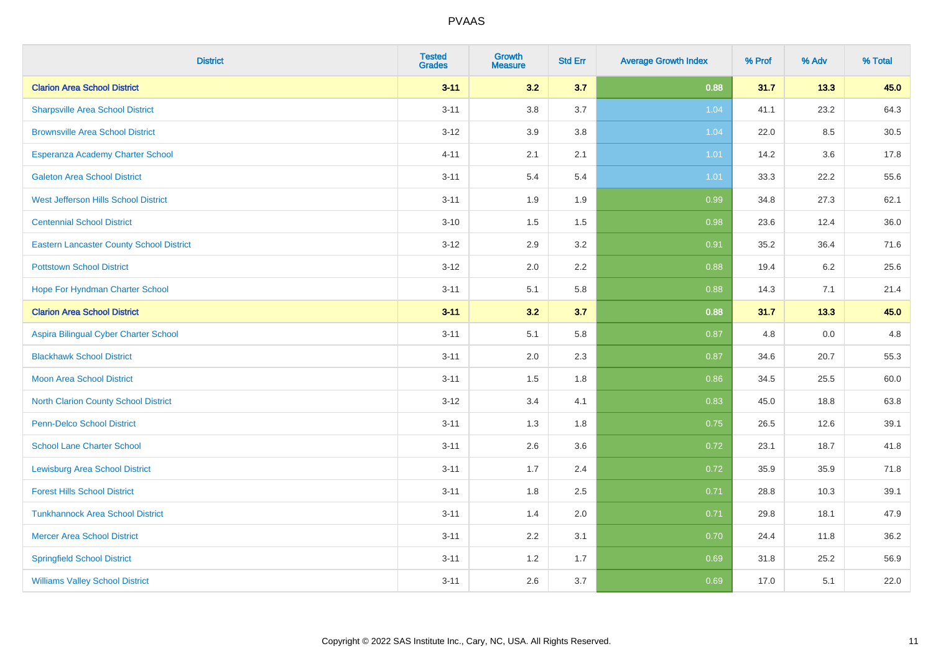| <b>District</b>                                 | <b>Tested</b><br><b>Grades</b> | <b>Growth</b><br><b>Measure</b> | <b>Std Err</b> | <b>Average Growth Index</b> | % Prof | % Adv | % Total |
|-------------------------------------------------|--------------------------------|---------------------------------|----------------|-----------------------------|--------|-------|---------|
| <b>Clarion Area School District</b>             | $3 - 11$                       | 3.2                             | 3.7            | 0.88                        | 31.7   | 13.3  | 45.0    |
| <b>Sharpsville Area School District</b>         | $3 - 11$                       | 3.8                             | 3.7            | 1.04                        | 41.1   | 23.2  | 64.3    |
| <b>Brownsville Area School District</b>         | $3 - 12$                       | 3.9                             | 3.8            | 1.04                        | 22.0   | 8.5   | 30.5    |
| Esperanza Academy Charter School                | $4 - 11$                       | 2.1                             | 2.1            | 1.01                        | 14.2   | 3.6   | 17.8    |
| <b>Galeton Area School District</b>             | $3 - 11$                       | 5.4                             | 5.4            | 1.01                        | 33.3   | 22.2  | 55.6    |
| West Jefferson Hills School District            | $3 - 11$                       | 1.9                             | 1.9            | 0.99                        | 34.8   | 27.3  | 62.1    |
| <b>Centennial School District</b>               | $3 - 10$                       | 1.5                             | 1.5            | 0.98                        | 23.6   | 12.4  | 36.0    |
| <b>Eastern Lancaster County School District</b> | $3 - 12$                       | 2.9                             | 3.2            | 0.91                        | 35.2   | 36.4  | 71.6    |
| <b>Pottstown School District</b>                | $3 - 12$                       | 2.0                             | 2.2            | 0.88                        | 19.4   | 6.2   | 25.6    |
| Hope For Hyndman Charter School                 | $3 - 11$                       | 5.1                             | 5.8            | 0.88                        | 14.3   | 7.1   | 21.4    |
| <b>Clarion Area School District</b>             | $3 - 11$                       | 3.2                             | 3.7            | 0.88                        | 31.7   | 13.3  | 45.0    |
| Aspira Bilingual Cyber Charter School           | $3 - 11$                       | 5.1                             | 5.8            | 0.87                        | 4.8    | 0.0   | 4.8     |
| <b>Blackhawk School District</b>                | $3 - 11$                       | 2.0                             | 2.3            | 0.87                        | 34.6   | 20.7  | 55.3    |
| <b>Moon Area School District</b>                | $3 - 11$                       | 1.5                             | 1.8            | 0.86                        | 34.5   | 25.5  | 60.0    |
| <b>North Clarion County School District</b>     | $3 - 12$                       | 3.4                             | 4.1            | 0.83                        | 45.0   | 18.8  | 63.8    |
| Penn-Delco School District                      | $3 - 11$                       | 1.3                             | 1.8            | 0.75                        | 26.5   | 12.6  | 39.1    |
| <b>School Lane Charter School</b>               | $3 - 11$                       | 2.6                             | 3.6            | 0.72                        | 23.1   | 18.7  | 41.8    |
| <b>Lewisburg Area School District</b>           | $3 - 11$                       | 1.7                             | 2.4            | 0.72                        | 35.9   | 35.9  | 71.8    |
| <b>Forest Hills School District</b>             | $3 - 11$                       | 1.8                             | 2.5            | 0.71                        | 28.8   | 10.3  | 39.1    |
| <b>Tunkhannock Area School District</b>         | $3 - 11$                       | 1.4                             | 2.0            | 0.71                        | 29.8   | 18.1  | 47.9    |
| <b>Mercer Area School District</b>              | $3 - 11$                       | 2.2                             | 3.1            | 0.70                        | 24.4   | 11.8  | 36.2    |
| <b>Springfield School District</b>              | $3 - 11$                       | 1.2                             | 1.7            | 0.69                        | 31.8   | 25.2  | 56.9    |
| <b>Williams Valley School District</b>          | $3 - 11$                       | 2.6                             | 3.7            | 0.69                        | 17.0   | 5.1   | 22.0    |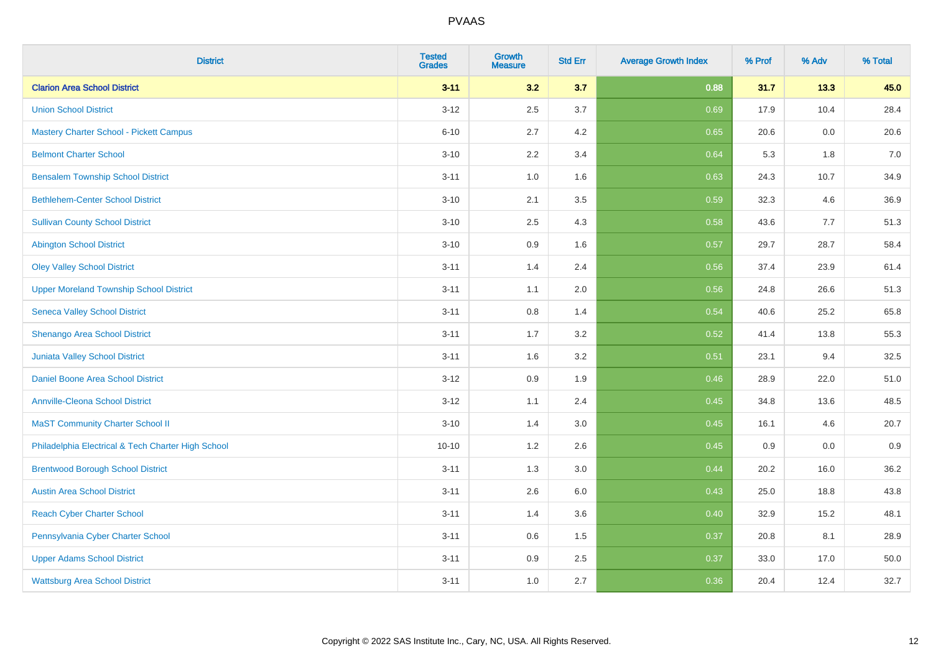| <b>District</b>                                    | <b>Tested</b><br><b>Grades</b> | <b>Growth</b><br><b>Measure</b> | <b>Std Err</b> | <b>Average Growth Index</b> | % Prof | % Adv | % Total |
|----------------------------------------------------|--------------------------------|---------------------------------|----------------|-----------------------------|--------|-------|---------|
| <b>Clarion Area School District</b>                | $3 - 11$                       | 3.2                             | 3.7            | 0.88                        | 31.7   | 13.3  | 45.0    |
| <b>Union School District</b>                       | $3 - 12$                       | 2.5                             | 3.7            | 0.69                        | 17.9   | 10.4  | 28.4    |
| <b>Mastery Charter School - Pickett Campus</b>     | $6 - 10$                       | 2.7                             | 4.2            | 0.65                        | 20.6   | 0.0   | 20.6    |
| <b>Belmont Charter School</b>                      | $3 - 10$                       | 2.2                             | 3.4            | 0.64                        | 5.3    | 1.8   | $7.0$   |
| <b>Bensalem Township School District</b>           | $3 - 11$                       | 1.0                             | 1.6            | 0.63                        | 24.3   | 10.7  | 34.9    |
| <b>Bethlehem-Center School District</b>            | $3 - 10$                       | 2.1                             | 3.5            | 0.59                        | 32.3   | 4.6   | 36.9    |
| <b>Sullivan County School District</b>             | $3 - 10$                       | 2.5                             | 4.3            | 0.58                        | 43.6   | 7.7   | 51.3    |
| <b>Abington School District</b>                    | $3 - 10$                       | 0.9                             | 1.6            | 0.57                        | 29.7   | 28.7  | 58.4    |
| <b>Oley Valley School District</b>                 | $3 - 11$                       | 1.4                             | 2.4            | 0.56                        | 37.4   | 23.9  | 61.4    |
| <b>Upper Moreland Township School District</b>     | $3 - 11$                       | 1.1                             | 2.0            | 0.56                        | 24.8   | 26.6  | 51.3    |
| <b>Seneca Valley School District</b>               | $3 - 11$                       | 0.8                             | 1.4            | 0.54                        | 40.6   | 25.2  | 65.8    |
| Shenango Area School District                      | $3 - 11$                       | 1.7                             | 3.2            | 0.52                        | 41.4   | 13.8  | 55.3    |
| Juniata Valley School District                     | $3 - 11$                       | 1.6                             | 3.2            | 0.51                        | 23.1   | 9.4   | 32.5    |
| Daniel Boone Area School District                  | $3 - 12$                       | 0.9                             | 1.9            | 0.46                        | 28.9   | 22.0  | 51.0    |
| <b>Annville-Cleona School District</b>             | $3 - 12$                       | 1.1                             | 2.4            | 0.45                        | 34.8   | 13.6  | 48.5    |
| <b>MaST Community Charter School II</b>            | $3 - 10$                       | 1.4                             | 3.0            | 0.45                        | 16.1   | 4.6   | 20.7    |
| Philadelphia Electrical & Tech Charter High School | $10 - 10$                      | 1.2                             | 2.6            | 0.45                        | 0.9    | 0.0   | 0.9     |
| <b>Brentwood Borough School District</b>           | $3 - 11$                       | 1.3                             | 3.0            | 0.44                        | 20.2   | 16.0  | 36.2    |
| <b>Austin Area School District</b>                 | $3 - 11$                       | 2.6                             | 6.0            | 0.43                        | 25.0   | 18.8  | 43.8    |
| <b>Reach Cyber Charter School</b>                  | $3 - 11$                       | 1.4                             | 3.6            | 0.40                        | 32.9   | 15.2  | 48.1    |
| Pennsylvania Cyber Charter School                  | $3 - 11$                       | 0.6                             | 1.5            | 0.37                        | 20.8   | 8.1   | 28.9    |
| <b>Upper Adams School District</b>                 | $3 - 11$                       | 0.9                             | 2.5            | 0.37                        | 33.0   | 17.0  | 50.0    |
| <b>Wattsburg Area School District</b>              | $3 - 11$                       | 1.0                             | 2.7            | 0.36                        | 20.4   | 12.4  | 32.7    |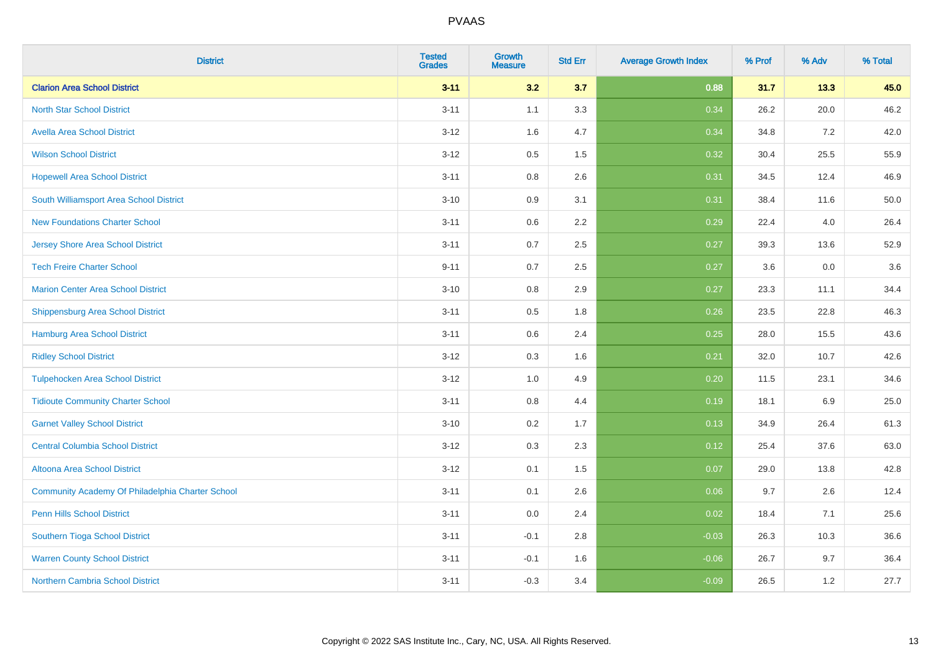| <b>District</b>                                  | <b>Tested</b><br><b>Grades</b> | <b>Growth</b><br><b>Measure</b> | <b>Std Err</b> | <b>Average Growth Index</b> | % Prof | % Adv | % Total |
|--------------------------------------------------|--------------------------------|---------------------------------|----------------|-----------------------------|--------|-------|---------|
| <b>Clarion Area School District</b>              | $3 - 11$                       | 3.2                             | 3.7            | 0.88                        | 31.7   | 13.3  | 45.0    |
| <b>North Star School District</b>                | $3 - 11$                       | 1.1                             | 3.3            | 0.34                        | 26.2   | 20.0  | 46.2    |
| <b>Avella Area School District</b>               | $3 - 12$                       | 1.6                             | 4.7            | 0.34                        | 34.8   | 7.2   | 42.0    |
| <b>Wilson School District</b>                    | $3 - 12$                       | 0.5                             | 1.5            | 0.32                        | 30.4   | 25.5  | 55.9    |
| <b>Hopewell Area School District</b>             | $3 - 11$                       | 0.8                             | 2.6            | 0.31                        | 34.5   | 12.4  | 46.9    |
| South Williamsport Area School District          | $3 - 10$                       | 0.9                             | 3.1            | 0.31                        | 38.4   | 11.6  | 50.0    |
| <b>New Foundations Charter School</b>            | $3 - 11$                       | 0.6                             | 2.2            | 0.29                        | 22.4   | 4.0   | 26.4    |
| <b>Jersey Shore Area School District</b>         | $3 - 11$                       | 0.7                             | 2.5            | 0.27                        | 39.3   | 13.6  | 52.9    |
| <b>Tech Freire Charter School</b>                | $9 - 11$                       | 0.7                             | 2.5            | 0.27                        | 3.6    | 0.0   | 3.6     |
| <b>Marion Center Area School District</b>        | $3 - 10$                       | 0.8                             | 2.9            | 0.27                        | 23.3   | 11.1  | 34.4    |
| <b>Shippensburg Area School District</b>         | $3 - 11$                       | 0.5                             | 1.8            | 0.26                        | 23.5   | 22.8  | 46.3    |
| <b>Hamburg Area School District</b>              | $3 - 11$                       | 0.6                             | 2.4            | 0.25                        | 28.0   | 15.5  | 43.6    |
| <b>Ridley School District</b>                    | $3 - 12$                       | 0.3                             | 1.6            | 0.21                        | 32.0   | 10.7  | 42.6    |
| <b>Tulpehocken Area School District</b>          | $3 - 12$                       | 1.0                             | 4.9            | 0.20                        | 11.5   | 23.1  | 34.6    |
| <b>Tidioute Community Charter School</b>         | $3 - 11$                       | 0.8                             | 4.4            | 0.19                        | 18.1   | 6.9   | 25.0    |
| <b>Garnet Valley School District</b>             | $3 - 10$                       | 0.2                             | 1.7            | 0.13                        | 34.9   | 26.4  | 61.3    |
| <b>Central Columbia School District</b>          | $3 - 12$                       | 0.3                             | 2.3            | 0.12                        | 25.4   | 37.6  | 63.0    |
| Altoona Area School District                     | $3 - 12$                       | 0.1                             | 1.5            | 0.07                        | 29.0   | 13.8  | 42.8    |
| Community Academy Of Philadelphia Charter School | $3 - 11$                       | 0.1                             | 2.6            | 0.06                        | 9.7    | 2.6   | 12.4    |
| Penn Hills School District                       | $3 - 11$                       | 0.0                             | 2.4            | 0.02                        | 18.4   | 7.1   | 25.6    |
| Southern Tioga School District                   | $3 - 11$                       | $-0.1$                          | 2.8            | $-0.03$                     | 26.3   | 10.3  | 36.6    |
| <b>Warren County School District</b>             | $3 - 11$                       | $-0.1$                          | 1.6            | $-0.06$                     | 26.7   | 9.7   | 36.4    |
| <b>Northern Cambria School District</b>          | $3 - 11$                       | $-0.3$                          | 3.4            | $-0.09$                     | 26.5   | 1.2   | 27.7    |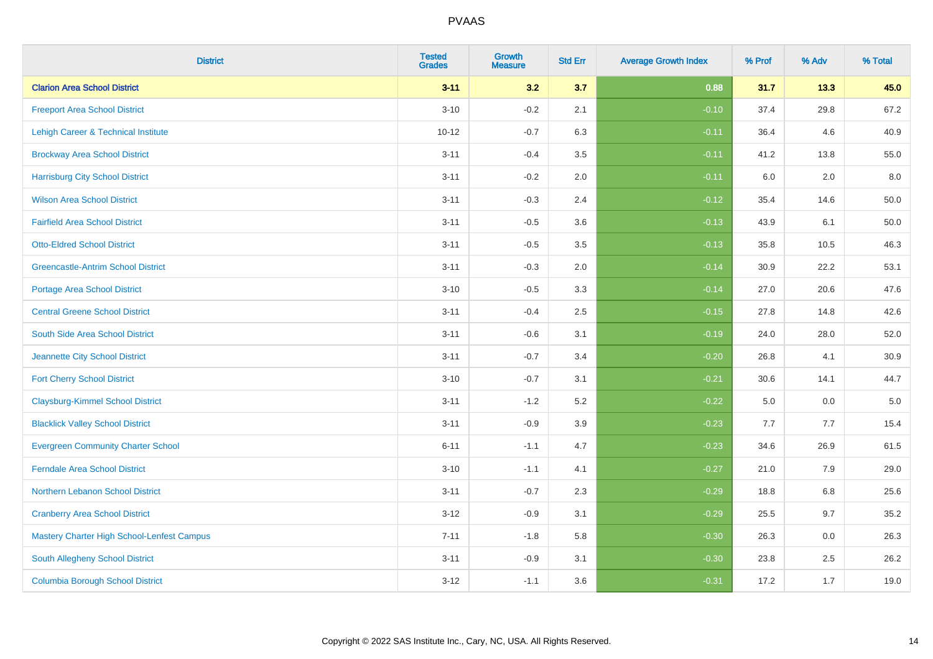| <b>District</b>                            | <b>Tested</b><br><b>Grades</b> | <b>Growth</b><br><b>Measure</b> | <b>Std Err</b> | <b>Average Growth Index</b> | % Prof | % Adv | % Total  |
|--------------------------------------------|--------------------------------|---------------------------------|----------------|-----------------------------|--------|-------|----------|
| <b>Clarion Area School District</b>        | $3 - 11$                       | 3.2                             | 3.7            | 0.88                        | 31.7   | 13.3  | 45.0     |
| <b>Freeport Area School District</b>       | $3 - 10$                       | $-0.2$                          | 2.1            | $-0.10$                     | 37.4   | 29.8  | 67.2     |
| Lehigh Career & Technical Institute        | $10 - 12$                      | $-0.7$                          | 6.3            | $-0.11$                     | 36.4   | 4.6   | 40.9     |
| <b>Brockway Area School District</b>       | $3 - 11$                       | $-0.4$                          | 3.5            | $-0.11$                     | 41.2   | 13.8  | 55.0     |
| <b>Harrisburg City School District</b>     | $3 - 11$                       | $-0.2$                          | 2.0            | $-0.11$                     | 6.0    | 2.0   | 8.0      |
| <b>Wilson Area School District</b>         | $3 - 11$                       | $-0.3$                          | 2.4            | $-0.12$                     | 35.4   | 14.6  | 50.0     |
| <b>Fairfield Area School District</b>      | $3 - 11$                       | $-0.5$                          | 3.6            | $-0.13$                     | 43.9   | 6.1   | $50.0\,$ |
| <b>Otto-Eldred School District</b>         | $3 - 11$                       | $-0.5$                          | 3.5            | $-0.13$                     | 35.8   | 10.5  | 46.3     |
| <b>Greencastle-Antrim School District</b>  | $3 - 11$                       | $-0.3$                          | 2.0            | $-0.14$                     | 30.9   | 22.2  | 53.1     |
| <b>Portage Area School District</b>        | $3 - 10$                       | $-0.5$                          | 3.3            | $-0.14$                     | 27.0   | 20.6  | 47.6     |
| <b>Central Greene School District</b>      | $3 - 11$                       | $-0.4$                          | 2.5            | $-0.15$                     | 27.8   | 14.8  | 42.6     |
| South Side Area School District            | $3 - 11$                       | $-0.6$                          | 3.1            | $-0.19$                     | 24.0   | 28.0  | 52.0     |
| Jeannette City School District             | $3 - 11$                       | $-0.7$                          | 3.4            | $-0.20$                     | 26.8   | 4.1   | 30.9     |
| <b>Fort Cherry School District</b>         | $3 - 10$                       | $-0.7$                          | 3.1            | $-0.21$                     | 30.6   | 14.1  | 44.7     |
| <b>Claysburg-Kimmel School District</b>    | $3 - 11$                       | $-1.2$                          | 5.2            | $-0.22$                     | 5.0    | 0.0   | $5.0\,$  |
| <b>Blacklick Valley School District</b>    | $3 - 11$                       | $-0.9$                          | 3.9            | $-0.23$                     | 7.7    | 7.7   | 15.4     |
| <b>Evergreen Community Charter School</b>  | $6 - 11$                       | $-1.1$                          | 4.7            | $-0.23$                     | 34.6   | 26.9  | 61.5     |
| <b>Ferndale Area School District</b>       | $3 - 10$                       | $-1.1$                          | 4.1            | $-0.27$                     | 21.0   | 7.9   | 29.0     |
| Northern Lebanon School District           | $3 - 11$                       | $-0.7$                          | 2.3            | $-0.29$                     | 18.8   | 6.8   | 25.6     |
| <b>Cranberry Area School District</b>      | $3 - 12$                       | $-0.9$                          | 3.1            | $-0.29$                     | 25.5   | 9.7   | 35.2     |
| Mastery Charter High School-Lenfest Campus | $7 - 11$                       | $-1.8$                          | 5.8            | $-0.30$                     | 26.3   | 0.0   | 26.3     |
| South Allegheny School District            | $3 - 11$                       | $-0.9$                          | 3.1            | $-0.30$                     | 23.8   | 2.5   | 26.2     |
| <b>Columbia Borough School District</b>    | $3 - 12$                       | $-1.1$                          | 3.6            | $-0.31$                     | 17.2   | 1.7   | 19.0     |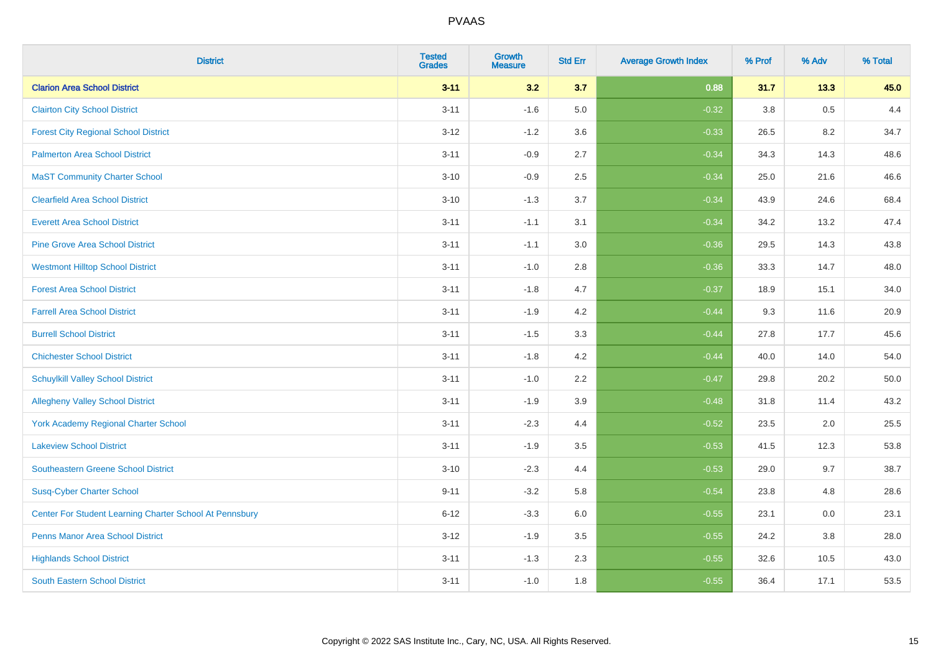| <b>District</b>                                         | <b>Tested</b><br><b>Grades</b> | <b>Growth</b><br><b>Measure</b> | <b>Std Err</b> | <b>Average Growth Index</b> | % Prof | % Adv | % Total |
|---------------------------------------------------------|--------------------------------|---------------------------------|----------------|-----------------------------|--------|-------|---------|
| <b>Clarion Area School District</b>                     | $3 - 11$                       | 3.2                             | 3.7            | 0.88                        | 31.7   | 13.3  | 45.0    |
| <b>Clairton City School District</b>                    | $3 - 11$                       | $-1.6$                          | 5.0            | $-0.32$                     | 3.8    | 0.5   | 4.4     |
| <b>Forest City Regional School District</b>             | $3 - 12$                       | $-1.2$                          | 3.6            | $-0.33$                     | 26.5   | 8.2   | 34.7    |
| <b>Palmerton Area School District</b>                   | $3 - 11$                       | $-0.9$                          | 2.7            | $-0.34$                     | 34.3   | 14.3  | 48.6    |
| <b>MaST Community Charter School</b>                    | $3 - 10$                       | $-0.9$                          | 2.5            | $-0.34$                     | 25.0   | 21.6  | 46.6    |
| <b>Clearfield Area School District</b>                  | $3 - 10$                       | $-1.3$                          | 3.7            | $-0.34$                     | 43.9   | 24.6  | 68.4    |
| <b>Everett Area School District</b>                     | $3 - 11$                       | $-1.1$                          | 3.1            | $-0.34$                     | 34.2   | 13.2  | 47.4    |
| <b>Pine Grove Area School District</b>                  | $3 - 11$                       | $-1.1$                          | 3.0            | $-0.36$                     | 29.5   | 14.3  | 43.8    |
| <b>Westmont Hilltop School District</b>                 | $3 - 11$                       | $-1.0$                          | 2.8            | $-0.36$                     | 33.3   | 14.7  | 48.0    |
| <b>Forest Area School District</b>                      | $3 - 11$                       | $-1.8$                          | 4.7            | $-0.37$                     | 18.9   | 15.1  | 34.0    |
| <b>Farrell Area School District</b>                     | $3 - 11$                       | $-1.9$                          | 4.2            | $-0.44$                     | 9.3    | 11.6  | 20.9    |
| <b>Burrell School District</b>                          | $3 - 11$                       | $-1.5$                          | 3.3            | $-0.44$                     | 27.8   | 17.7  | 45.6    |
| <b>Chichester School District</b>                       | $3 - 11$                       | $-1.8$                          | 4.2            | $-0.44$                     | 40.0   | 14.0  | 54.0    |
| <b>Schuylkill Valley School District</b>                | $3 - 11$                       | $-1.0$                          | 2.2            | $-0.47$                     | 29.8   | 20.2  | 50.0    |
| <b>Allegheny Valley School District</b>                 | $3 - 11$                       | $-1.9$                          | 3.9            | $-0.48$                     | 31.8   | 11.4  | 43.2    |
| York Academy Regional Charter School                    | $3 - 11$                       | $-2.3$                          | 4.4            | $-0.52$                     | 23.5   | 2.0   | 25.5    |
| <b>Lakeview School District</b>                         | $3 - 11$                       | $-1.9$                          | 3.5            | $-0.53$                     | 41.5   | 12.3  | 53.8    |
| <b>Southeastern Greene School District</b>              | $3 - 10$                       | $-2.3$                          | 4.4            | $-0.53$                     | 29.0   | 9.7   | 38.7    |
| <b>Susq-Cyber Charter School</b>                        | $9 - 11$                       | $-3.2$                          | 5.8            | $-0.54$                     | 23.8   | 4.8   | 28.6    |
| Center For Student Learning Charter School At Pennsbury | $6 - 12$                       | $-3.3$                          | 6.0            | $-0.55$                     | 23.1   | 0.0   | 23.1    |
| <b>Penns Manor Area School District</b>                 | $3 - 12$                       | $-1.9$                          | 3.5            | $-0.55$                     | 24.2   | 3.8   | 28.0    |
| <b>Highlands School District</b>                        | $3 - 11$                       | $-1.3$                          | 2.3            | $-0.55$                     | 32.6   | 10.5  | 43.0    |
| <b>South Eastern School District</b>                    | $3 - 11$                       | $-1.0$                          | 1.8            | $-0.55$                     | 36.4   | 17.1  | 53.5    |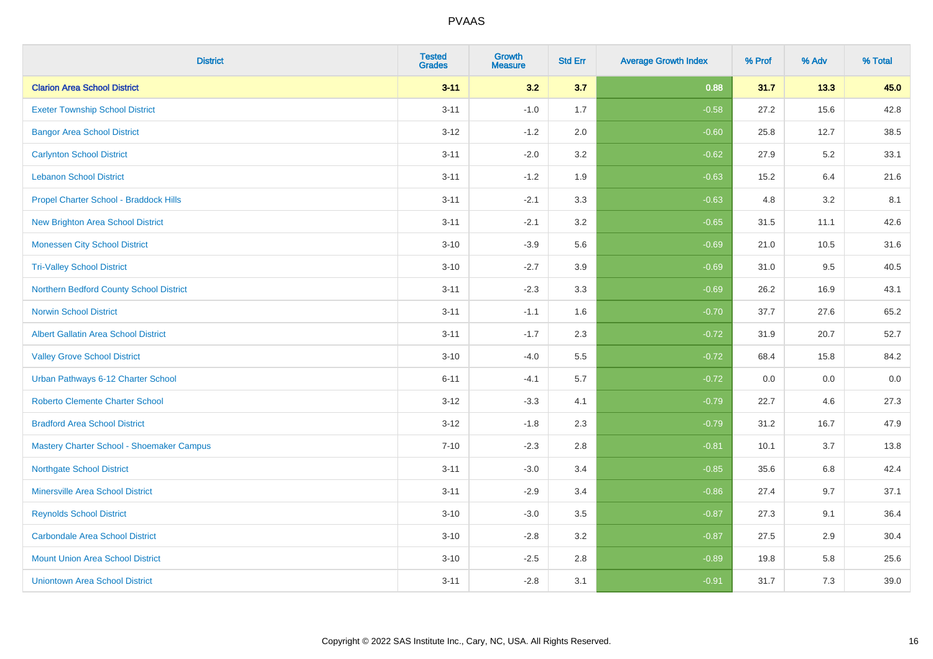| <b>District</b>                             | <b>Tested</b><br><b>Grades</b> | <b>Growth</b><br><b>Measure</b> | <b>Std Err</b> | <b>Average Growth Index</b> | % Prof | % Adv | % Total |
|---------------------------------------------|--------------------------------|---------------------------------|----------------|-----------------------------|--------|-------|---------|
| <b>Clarion Area School District</b>         | $3 - 11$                       | 3.2                             | 3.7            | 0.88                        | 31.7   | 13.3  | 45.0    |
| <b>Exeter Township School District</b>      | $3 - 11$                       | $-1.0$                          | 1.7            | $-0.58$                     | 27.2   | 15.6  | 42.8    |
| <b>Bangor Area School District</b>          | $3 - 12$                       | $-1.2$                          | 2.0            | $-0.60$                     | 25.8   | 12.7  | 38.5    |
| <b>Carlynton School District</b>            | $3 - 11$                       | $-2.0$                          | 3.2            | $-0.62$                     | 27.9   | 5.2   | 33.1    |
| <b>Lebanon School District</b>              | $3 - 11$                       | $-1.2$                          | 1.9            | $-0.63$                     | 15.2   | 6.4   | 21.6    |
| Propel Charter School - Braddock Hills      | $3 - 11$                       | $-2.1$                          | 3.3            | $-0.63$                     | 4.8    | 3.2   | 8.1     |
| <b>New Brighton Area School District</b>    | $3 - 11$                       | $-2.1$                          | 3.2            | $-0.65$                     | 31.5   | 11.1  | 42.6    |
| <b>Monessen City School District</b>        | $3 - 10$                       | $-3.9$                          | 5.6            | $-0.69$                     | 21.0   | 10.5  | 31.6    |
| <b>Tri-Valley School District</b>           | $3 - 10$                       | $-2.7$                          | 3.9            | $-0.69$                     | 31.0   | 9.5   | 40.5    |
| Northern Bedford County School District     | $3 - 11$                       | $-2.3$                          | 3.3            | $-0.69$                     | 26.2   | 16.9  | 43.1    |
| <b>Norwin School District</b>               | $3 - 11$                       | $-1.1$                          | 1.6            | $-0.70$                     | 37.7   | 27.6  | 65.2    |
| <b>Albert Gallatin Area School District</b> | $3 - 11$                       | $-1.7$                          | 2.3            | $-0.72$                     | 31.9   | 20.7  | 52.7    |
| <b>Valley Grove School District</b>         | $3 - 10$                       | $-4.0$                          | 5.5            | $-0.72$                     | 68.4   | 15.8  | 84.2    |
| Urban Pathways 6-12 Charter School          | $6 - 11$                       | $-4.1$                          | 5.7            | $-0.72$                     | 0.0    | 0.0   | $0.0\,$ |
| <b>Roberto Clemente Charter School</b>      | $3 - 12$                       | $-3.3$                          | 4.1            | $-0.79$                     | 22.7   | 4.6   | 27.3    |
| <b>Bradford Area School District</b>        | $3 - 12$                       | $-1.8$                          | 2.3            | $-0.79$                     | 31.2   | 16.7  | 47.9    |
| Mastery Charter School - Shoemaker Campus   | $7 - 10$                       | $-2.3$                          | 2.8            | $-0.81$                     | 10.1   | 3.7   | 13.8    |
| <b>Northgate School District</b>            | $3 - 11$                       | $-3.0$                          | 3.4            | $-0.85$                     | 35.6   | 6.8   | 42.4    |
| <b>Minersville Area School District</b>     | $3 - 11$                       | $-2.9$                          | 3.4            | $-0.86$                     | 27.4   | 9.7   | 37.1    |
| <b>Reynolds School District</b>             | $3 - 10$                       | $-3.0$                          | 3.5            | $-0.87$                     | 27.3   | 9.1   | 36.4    |
| <b>Carbondale Area School District</b>      | $3 - 10$                       | $-2.8$                          | 3.2            | $-0.87$                     | 27.5   | 2.9   | 30.4    |
| <b>Mount Union Area School District</b>     | $3 - 10$                       | $-2.5$                          | 2.8            | $-0.89$                     | 19.8   | 5.8   | 25.6    |
| <b>Uniontown Area School District</b>       | $3 - 11$                       | $-2.8$                          | 3.1            | $-0.91$                     | 31.7   | 7.3   | 39.0    |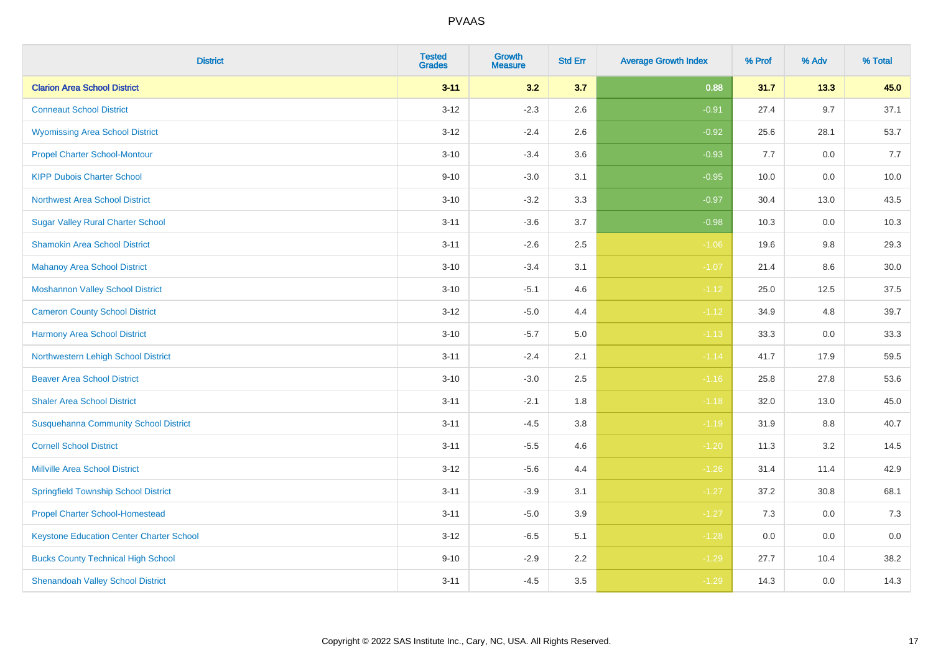| <b>District</b>                                 | <b>Tested</b><br><b>Grades</b> | <b>Growth</b><br><b>Measure</b> | <b>Std Err</b> | <b>Average Growth Index</b> | % Prof | % Adv   | % Total |
|-------------------------------------------------|--------------------------------|---------------------------------|----------------|-----------------------------|--------|---------|---------|
| <b>Clarion Area School District</b>             | $3 - 11$                       | 3.2                             | 3.7            | 0.88                        | 31.7   | 13.3    | 45.0    |
| <b>Conneaut School District</b>                 | $3 - 12$                       | $-2.3$                          | 2.6            | $-0.91$                     | 27.4   | 9.7     | 37.1    |
| <b>Wyomissing Area School District</b>          | $3 - 12$                       | $-2.4$                          | 2.6            | $-0.92$                     | 25.6   | 28.1    | 53.7    |
| <b>Propel Charter School-Montour</b>            | $3 - 10$                       | $-3.4$                          | 3.6            | $-0.93$                     | 7.7    | $0.0\,$ | 7.7     |
| <b>KIPP Dubois Charter School</b>               | $9 - 10$                       | $-3.0$                          | 3.1            | $-0.95$                     | 10.0   | 0.0     | 10.0    |
| <b>Northwest Area School District</b>           | $3 - 10$                       | $-3.2$                          | 3.3            | $-0.97$                     | 30.4   | 13.0    | 43.5    |
| <b>Sugar Valley Rural Charter School</b>        | $3 - 11$                       | $-3.6$                          | 3.7            | $-0.98$                     | 10.3   | 0.0     | 10.3    |
| <b>Shamokin Area School District</b>            | $3 - 11$                       | $-2.6$                          | 2.5            | $-1.06$                     | 19.6   | 9.8     | 29.3    |
| <b>Mahanoy Area School District</b>             | $3 - 10$                       | $-3.4$                          | 3.1            | $-1.07$                     | 21.4   | 8.6     | 30.0    |
| <b>Moshannon Valley School District</b>         | $3 - 10$                       | $-5.1$                          | 4.6            | $-1.12$                     | 25.0   | 12.5    | 37.5    |
| <b>Cameron County School District</b>           | $3 - 12$                       | $-5.0$                          | 4.4            | $-1.12$                     | 34.9   | 4.8     | 39.7    |
| <b>Harmony Area School District</b>             | $3 - 10$                       | $-5.7$                          | $5.0\,$        | $-1.13$                     | 33.3   | 0.0     | 33.3    |
| Northwestern Lehigh School District             | $3 - 11$                       | $-2.4$                          | 2.1            | $-1.14$                     | 41.7   | 17.9    | 59.5    |
| <b>Beaver Area School District</b>              | $3 - 10$                       | $-3.0$                          | 2.5            | $-1.16$                     | 25.8   | 27.8    | 53.6    |
| <b>Shaler Area School District</b>              | $3 - 11$                       | $-2.1$                          | 1.8            | $-1.18$                     | 32.0   | 13.0    | 45.0    |
| <b>Susquehanna Community School District</b>    | $3 - 11$                       | $-4.5$                          | 3.8            | $-1.19$                     | 31.9   | $8.8\,$ | 40.7    |
| <b>Cornell School District</b>                  | $3 - 11$                       | $-5.5$                          | 4.6            | $-1.20$                     | 11.3   | $3.2\,$ | 14.5    |
| <b>Millville Area School District</b>           | $3-12$                         | $-5.6$                          | 4.4            | $-1.26$                     | 31.4   | 11.4    | 42.9    |
| <b>Springfield Township School District</b>     | $3 - 11$                       | $-3.9$                          | 3.1            | $-1.27$                     | 37.2   | 30.8    | 68.1    |
| <b>Propel Charter School-Homestead</b>          | $3 - 11$                       | $-5.0$                          | 3.9            | $-1.27$                     | 7.3    | 0.0     | 7.3     |
| <b>Keystone Education Center Charter School</b> | $3 - 12$                       | $-6.5$                          | 5.1            | $-1.28$                     | 0.0    | 0.0     | 0.0     |
| <b>Bucks County Technical High School</b>       | $9 - 10$                       | $-2.9$                          | 2.2            | $-1.29$                     | 27.7   | 10.4    | 38.2    |
| <b>Shenandoah Valley School District</b>        | $3 - 11$                       | $-4.5$                          | 3.5            | $-1.29$                     | 14.3   | 0.0     | 14.3    |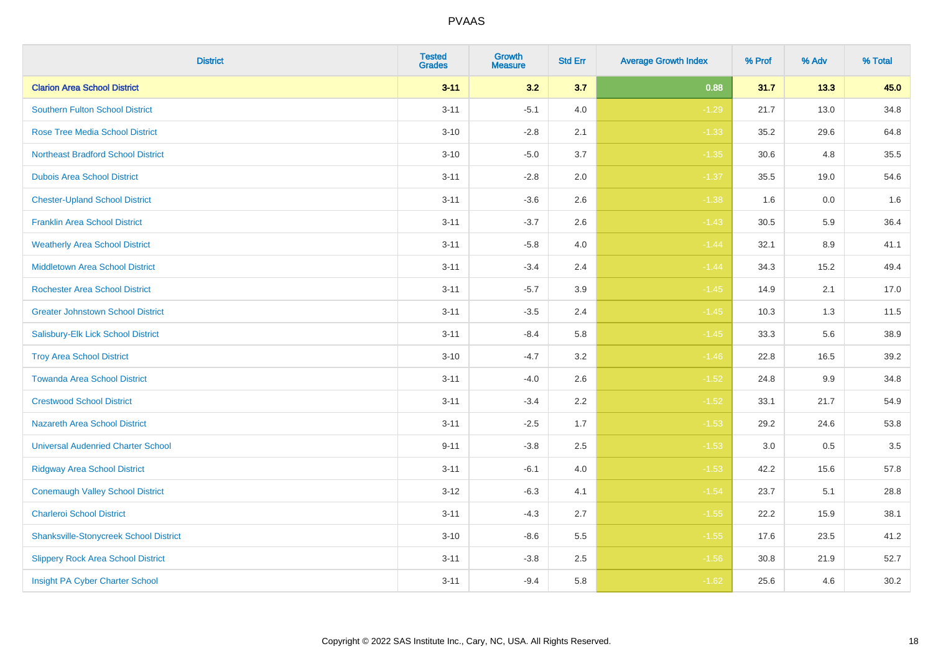| <b>District</b>                               | <b>Tested</b><br><b>Grades</b> | <b>Growth</b><br><b>Measure</b> | <b>Std Err</b> | <b>Average Growth Index</b> | % Prof | % Adv | % Total |
|-----------------------------------------------|--------------------------------|---------------------------------|----------------|-----------------------------|--------|-------|---------|
| <b>Clarion Area School District</b>           | $3 - 11$                       | 3.2                             | 3.7            | 0.88                        | 31.7   | 13.3  | 45.0    |
| <b>Southern Fulton School District</b>        | $3 - 11$                       | $-5.1$                          | 4.0            | $-1.29$                     | 21.7   | 13.0  | 34.8    |
| <b>Rose Tree Media School District</b>        | $3 - 10$                       | $-2.8$                          | 2.1            | $-1.33$                     | 35.2   | 29.6  | 64.8    |
| <b>Northeast Bradford School District</b>     | $3 - 10$                       | $-5.0$                          | 3.7            | $-1.35$                     | 30.6   | 4.8   | 35.5    |
| <b>Dubois Area School District</b>            | $3 - 11$                       | $-2.8$                          | 2.0            | $-1.37$                     | 35.5   | 19.0  | 54.6    |
| <b>Chester-Upland School District</b>         | $3 - 11$                       | $-3.6$                          | 2.6            | $-1.38$                     | 1.6    | 0.0   | 1.6     |
| <b>Franklin Area School District</b>          | $3 - 11$                       | $-3.7$                          | 2.6            | $-1.43$                     | 30.5   | 5.9   | 36.4    |
| <b>Weatherly Area School District</b>         | $3 - 11$                       | $-5.8$                          | 4.0            | $-1.44$                     | 32.1   | 8.9   | 41.1    |
| <b>Middletown Area School District</b>        | $3 - 11$                       | $-3.4$                          | 2.4            | $-1.44$                     | 34.3   | 15.2  | 49.4    |
| <b>Rochester Area School District</b>         | $3 - 11$                       | $-5.7$                          | 3.9            | $-1.45$                     | 14.9   | 2.1   | 17.0    |
| <b>Greater Johnstown School District</b>      | $3 - 11$                       | $-3.5$                          | 2.4            | $-1.45$                     | 10.3   | 1.3   | 11.5    |
| Salisbury-Elk Lick School District            | $3 - 11$                       | $-8.4$                          | 5.8            | $-1.45$                     | 33.3   | 5.6   | 38.9    |
| <b>Troy Area School District</b>              | $3 - 10$                       | $-4.7$                          | 3.2            | $-1.46$                     | 22.8   | 16.5  | 39.2    |
| <b>Towanda Area School District</b>           | $3 - 11$                       | $-4.0$                          | 2.6            | $-1.52$                     | 24.8   | 9.9   | 34.8    |
| <b>Crestwood School District</b>              | $3 - 11$                       | $-3.4$                          | 2.2            | $-1.52$                     | 33.1   | 21.7  | 54.9    |
| <b>Nazareth Area School District</b>          | $3 - 11$                       | $-2.5$                          | 1.7            | $-1.53$                     | 29.2   | 24.6  | 53.8    |
| <b>Universal Audenried Charter School</b>     | $9 - 11$                       | $-3.8$                          | 2.5            | $-1.53$                     | 3.0    | 0.5   | 3.5     |
| <b>Ridgway Area School District</b>           | $3 - 11$                       | $-6.1$                          | 4.0            | $-1.53$                     | 42.2   | 15.6  | 57.8    |
| <b>Conemaugh Valley School District</b>       | $3 - 12$                       | $-6.3$                          | 4.1            | $-1.54$                     | 23.7   | 5.1   | 28.8    |
| <b>Charleroi School District</b>              | $3 - 11$                       | $-4.3$                          | 2.7            | $-1.55$                     | 22.2   | 15.9  | 38.1    |
| <b>Shanksville-Stonycreek School District</b> | $3 - 10$                       | $-8.6$                          | 5.5            | $-1.55$                     | 17.6   | 23.5  | 41.2    |
| <b>Slippery Rock Area School District</b>     | $3 - 11$                       | $-3.8$                          | 2.5            | $-1.56$                     | 30.8   | 21.9  | 52.7    |
| Insight PA Cyber Charter School               | $3 - 11$                       | $-9.4$                          | 5.8            | $-1.62$                     | 25.6   | 4.6   | 30.2    |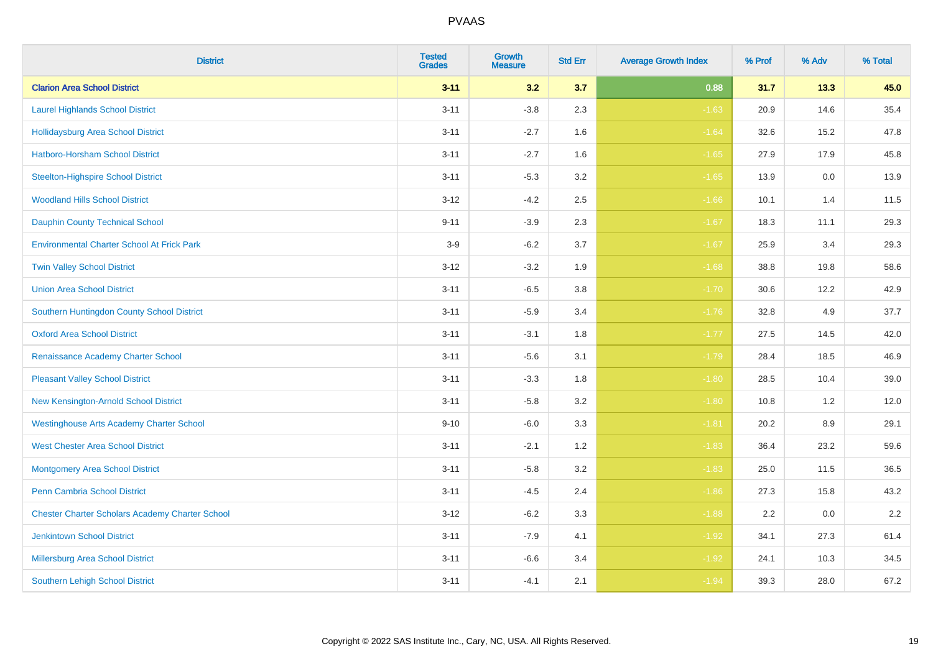| <b>District</b>                                        | <b>Tested</b><br><b>Grades</b> | <b>Growth</b><br><b>Measure</b> | <b>Std Err</b> | <b>Average Growth Index</b> | % Prof | % Adv | % Total |
|--------------------------------------------------------|--------------------------------|---------------------------------|----------------|-----------------------------|--------|-------|---------|
| <b>Clarion Area School District</b>                    | $3 - 11$                       | 3.2                             | 3.7            | 0.88                        | 31.7   | 13.3  | 45.0    |
| <b>Laurel Highlands School District</b>                | $3 - 11$                       | $-3.8$                          | 2.3            | $-1.63$                     | 20.9   | 14.6  | 35.4    |
| <b>Hollidaysburg Area School District</b>              | $3 - 11$                       | $-2.7$                          | 1.6            | $-1.64$                     | 32.6   | 15.2  | 47.8    |
| <b>Hatboro-Horsham School District</b>                 | $3 - 11$                       | $-2.7$                          | 1.6            | $-1.65$                     | 27.9   | 17.9  | 45.8    |
| <b>Steelton-Highspire School District</b>              | $3 - 11$                       | $-5.3$                          | 3.2            | $-1.65$                     | 13.9   | 0.0   | 13.9    |
| <b>Woodland Hills School District</b>                  | $3 - 12$                       | $-4.2$                          | 2.5            | $-1.66$                     | 10.1   | 1.4   | 11.5    |
| <b>Dauphin County Technical School</b>                 | $9 - 11$                       | $-3.9$                          | 2.3            | $-1.67$                     | 18.3   | 11.1  | 29.3    |
| <b>Environmental Charter School At Frick Park</b>      | $3-9$                          | $-6.2$                          | 3.7            | $-1.67$                     | 25.9   | 3.4   | 29.3    |
| <b>Twin Valley School District</b>                     | $3 - 12$                       | $-3.2$                          | 1.9            | $-1.68$                     | 38.8   | 19.8  | 58.6    |
| <b>Union Area School District</b>                      | $3 - 11$                       | $-6.5$                          | 3.8            | $-1.70$                     | 30.6   | 12.2  | 42.9    |
| Southern Huntingdon County School District             | $3 - 11$                       | $-5.9$                          | 3.4            | $-1.76$                     | 32.8   | 4.9   | 37.7    |
| <b>Oxford Area School District</b>                     | $3 - 11$                       | $-3.1$                          | 1.8            | $-1.77$                     | 27.5   | 14.5  | 42.0    |
| Renaissance Academy Charter School                     | $3 - 11$                       | $-5.6$                          | 3.1            | $-1.79$                     | 28.4   | 18.5  | 46.9    |
| <b>Pleasant Valley School District</b>                 | $3 - 11$                       | $-3.3$                          | 1.8            | $-1.80$                     | 28.5   | 10.4  | 39.0    |
| New Kensington-Arnold School District                  | $3 - 11$                       | $-5.8$                          | 3.2            | $-1.80$                     | 10.8   | 1.2   | 12.0    |
| <b>Westinghouse Arts Academy Charter School</b>        | $9 - 10$                       | $-6.0$                          | 3.3            | $-1.81$                     | 20.2   | 8.9   | 29.1    |
| <b>West Chester Area School District</b>               | $3 - 11$                       | $-2.1$                          | 1.2            | $-1.83$                     | 36.4   | 23.2  | 59.6    |
| <b>Montgomery Area School District</b>                 | $3 - 11$                       | $-5.8$                          | 3.2            | $-1.83$                     | 25.0   | 11.5  | 36.5    |
| <b>Penn Cambria School District</b>                    | $3 - 11$                       | $-4.5$                          | 2.4            | $-1.86$                     | 27.3   | 15.8  | 43.2    |
| <b>Chester Charter Scholars Academy Charter School</b> | $3 - 12$                       | $-6.2$                          | 3.3            | $-1.88$                     | 2.2    | 0.0   | 2.2     |
| <b>Jenkintown School District</b>                      | $3 - 11$                       | $-7.9$                          | 4.1            | $-1.92$                     | 34.1   | 27.3  | 61.4    |
| <b>Millersburg Area School District</b>                | $3 - 11$                       | $-6.6$                          | 3.4            | $-1.92$                     | 24.1   | 10.3  | 34.5    |
| Southern Lehigh School District                        | $3 - 11$                       | $-4.1$                          | 2.1            | $-1.94$                     | 39.3   | 28.0  | 67.2    |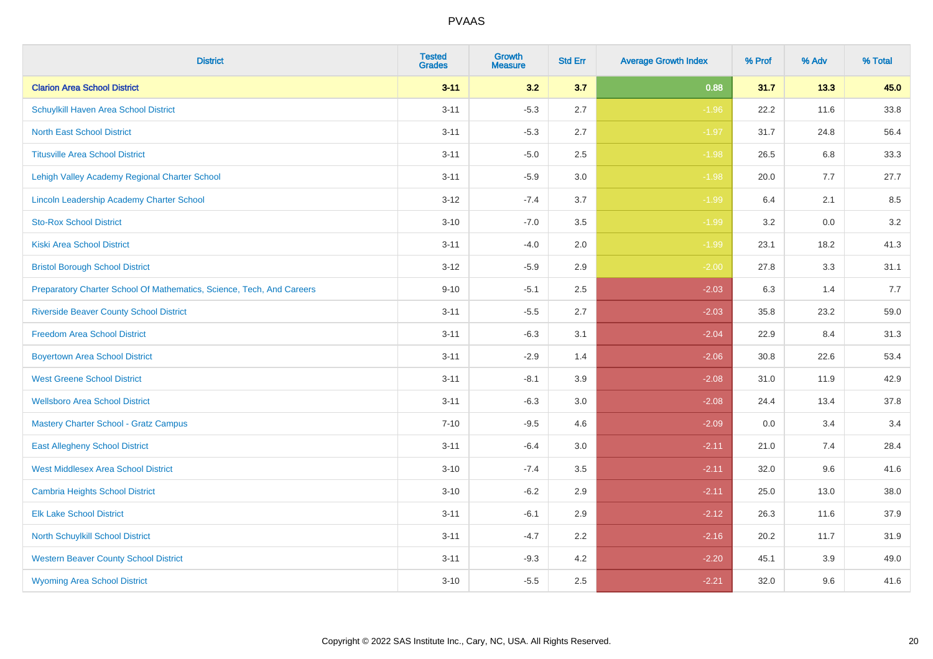| <b>District</b>                                                       | <b>Tested</b><br><b>Grades</b> | <b>Growth</b><br><b>Measure</b> | <b>Std Err</b> | <b>Average Growth Index</b> | % Prof | % Adv   | % Total |
|-----------------------------------------------------------------------|--------------------------------|---------------------------------|----------------|-----------------------------|--------|---------|---------|
| <b>Clarion Area School District</b>                                   | $3 - 11$                       | 3.2                             | 3.7            | 0.88                        | 31.7   | 13.3    | 45.0    |
| Schuylkill Haven Area School District                                 | $3 - 11$                       | $-5.3$                          | 2.7            | $-1.96$                     | 22.2   | 11.6    | 33.8    |
| <b>North East School District</b>                                     | $3 - 11$                       | $-5.3$                          | 2.7            | $-1.97$                     | 31.7   | 24.8    | 56.4    |
| <b>Titusville Area School District</b>                                | $3 - 11$                       | $-5.0$                          | 2.5            | $-1.98$                     | 26.5   | 6.8     | 33.3    |
| Lehigh Valley Academy Regional Charter School                         | $3 - 11$                       | $-5.9$                          | 3.0            | $-1.98$                     | 20.0   | 7.7     | 27.7    |
| Lincoln Leadership Academy Charter School                             | $3 - 12$                       | $-7.4$                          | 3.7            | $-1.99$                     | 6.4    | 2.1     | 8.5     |
| <b>Sto-Rox School District</b>                                        | $3 - 10$                       | $-7.0$                          | 3.5            | $-1.99$                     | 3.2    | $0.0\,$ | 3.2     |
| <b>Kiski Area School District</b>                                     | $3 - 11$                       | $-4.0$                          | 2.0            | $-1.99$                     | 23.1   | 18.2    | 41.3    |
| <b>Bristol Borough School District</b>                                | $3 - 12$                       | $-5.9$                          | 2.9            | $-2.00$                     | 27.8   | 3.3     | 31.1    |
| Preparatory Charter School Of Mathematics, Science, Tech, And Careers | $9 - 10$                       | $-5.1$                          | $2.5\,$        | $-2.03$                     | 6.3    | 1.4     | 7.7     |
| <b>Riverside Beaver County School District</b>                        | $3 - 11$                       | $-5.5$                          | 2.7            | $-2.03$                     | 35.8   | 23.2    | 59.0    |
| <b>Freedom Area School District</b>                                   | $3 - 11$                       | $-6.3$                          | 3.1            | $-2.04$                     | 22.9   | 8.4     | 31.3    |
| <b>Boyertown Area School District</b>                                 | $3 - 11$                       | $-2.9$                          | 1.4            | $-2.06$                     | 30.8   | 22.6    | 53.4    |
| <b>West Greene School District</b>                                    | $3 - 11$                       | $-8.1$                          | 3.9            | $-2.08$                     | 31.0   | 11.9    | 42.9    |
| <b>Wellsboro Area School District</b>                                 | $3 - 11$                       | $-6.3$                          | 3.0            | $-2.08$                     | 24.4   | 13.4    | 37.8    |
| <b>Mastery Charter School - Gratz Campus</b>                          | $7 - 10$                       | $-9.5$                          | 4.6            | $-2.09$                     | 0.0    | 3.4     | 3.4     |
| <b>East Allegheny School District</b>                                 | $3 - 11$                       | $-6.4$                          | 3.0            | $-2.11$                     | 21.0   | 7.4     | 28.4    |
| <b>West Middlesex Area School District</b>                            | $3 - 10$                       | $-7.4$                          | 3.5            | $-2.11$                     | 32.0   | 9.6     | 41.6    |
| <b>Cambria Heights School District</b>                                | $3 - 10$                       | $-6.2$                          | 2.9            | $-2.11$                     | 25.0   | 13.0    | 38.0    |
| <b>Elk Lake School District</b>                                       | $3 - 11$                       | $-6.1$                          | 2.9            | $-2.12$                     | 26.3   | 11.6    | 37.9    |
| North Schuylkill School District                                      | $3 - 11$                       | $-4.7$                          | 2.2            | $-2.16$                     | 20.2   | 11.7    | 31.9    |
| <b>Western Beaver County School District</b>                          | $3 - 11$                       | $-9.3$                          | 4.2            | $-2.20$                     | 45.1   | 3.9     | 49.0    |
| <b>Wyoming Area School District</b>                                   | $3 - 10$                       | $-5.5$                          | 2.5            | $-2.21$                     | 32.0   | 9.6     | 41.6    |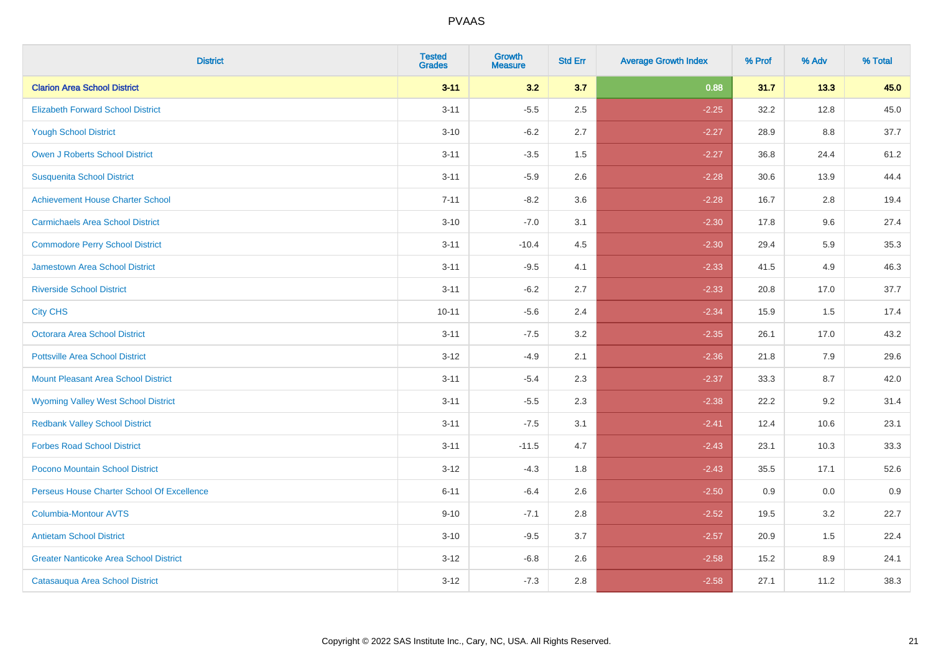| <b>District</b>                               | <b>Tested</b><br><b>Grades</b> | <b>Growth</b><br><b>Measure</b> | <b>Std Err</b> | <b>Average Growth Index</b> | % Prof | % Adv | % Total |
|-----------------------------------------------|--------------------------------|---------------------------------|----------------|-----------------------------|--------|-------|---------|
| <b>Clarion Area School District</b>           | $3 - 11$                       | 3.2                             | 3.7            | 0.88                        | 31.7   | 13.3  | 45.0    |
| <b>Elizabeth Forward School District</b>      | $3 - 11$                       | $-5.5$                          | 2.5            | $-2.25$                     | 32.2   | 12.8  | 45.0    |
| <b>Yough School District</b>                  | $3 - 10$                       | $-6.2$                          | 2.7            | $-2.27$                     | 28.9   | 8.8   | 37.7    |
| <b>Owen J Roberts School District</b>         | $3 - 11$                       | $-3.5$                          | 1.5            | $-2.27$                     | 36.8   | 24.4  | 61.2    |
| <b>Susquenita School District</b>             | $3 - 11$                       | $-5.9$                          | 2.6            | $-2.28$                     | 30.6   | 13.9  | 44.4    |
| <b>Achievement House Charter School</b>       | $7 - 11$                       | $-8.2$                          | 3.6            | $-2.28$                     | 16.7   | 2.8   | 19.4    |
| <b>Carmichaels Area School District</b>       | $3 - 10$                       | $-7.0$                          | 3.1            | $-2.30$                     | 17.8   | 9.6   | 27.4    |
| <b>Commodore Perry School District</b>        | $3 - 11$                       | $-10.4$                         | 4.5            | $-2.30$                     | 29.4   | 5.9   | 35.3    |
| <b>Jamestown Area School District</b>         | $3 - 11$                       | $-9.5$                          | 4.1            | $-2.33$                     | 41.5   | 4.9   | 46.3    |
| <b>Riverside School District</b>              | $3 - 11$                       | $-6.2$                          | 2.7            | $-2.33$                     | 20.8   | 17.0  | 37.7    |
| <b>City CHS</b>                               | $10 - 11$                      | $-5.6$                          | 2.4            | $-2.34$                     | 15.9   | 1.5   | 17.4    |
| <b>Octorara Area School District</b>          | $3 - 11$                       | $-7.5$                          | 3.2            | $-2.35$                     | 26.1   | 17.0  | 43.2    |
| <b>Pottsville Area School District</b>        | $3 - 12$                       | $-4.9$                          | 2.1            | $-2.36$                     | 21.8   | 7.9   | 29.6    |
| <b>Mount Pleasant Area School District</b>    | $3 - 11$                       | $-5.4$                          | 2.3            | $-2.37$                     | 33.3   | 8.7   | 42.0    |
| <b>Wyoming Valley West School District</b>    | $3 - 11$                       | $-5.5$                          | 2.3            | $-2.38$                     | 22.2   | 9.2   | 31.4    |
| <b>Redbank Valley School District</b>         | $3 - 11$                       | $-7.5$                          | 3.1            | $-2.41$                     | 12.4   | 10.6  | 23.1    |
| <b>Forbes Road School District</b>            | $3 - 11$                       | $-11.5$                         | 4.7            | $-2.43$                     | 23.1   | 10.3  | 33.3    |
| Pocono Mountain School District               | $3 - 12$                       | $-4.3$                          | 1.8            | $-2.43$                     | 35.5   | 17.1  | 52.6    |
| Perseus House Charter School Of Excellence    | $6 - 11$                       | $-6.4$                          | 2.6            | $-2.50$                     | 0.9    | 0.0   | 0.9     |
| <b>Columbia-Montour AVTS</b>                  | $9 - 10$                       | $-7.1$                          | 2.8            | $-2.52$                     | 19.5   | 3.2   | 22.7    |
| <b>Antietam School District</b>               | $3 - 10$                       | $-9.5$                          | 3.7            | $-2.57$                     | 20.9   | 1.5   | 22.4    |
| <b>Greater Nanticoke Area School District</b> | $3 - 12$                       | $-6.8$                          | 2.6            | $-2.58$                     | 15.2   | 8.9   | 24.1    |
| Catasauqua Area School District               | $3 - 12$                       | $-7.3$                          | 2.8            | $-2.58$                     | 27.1   | 11.2  | 38.3    |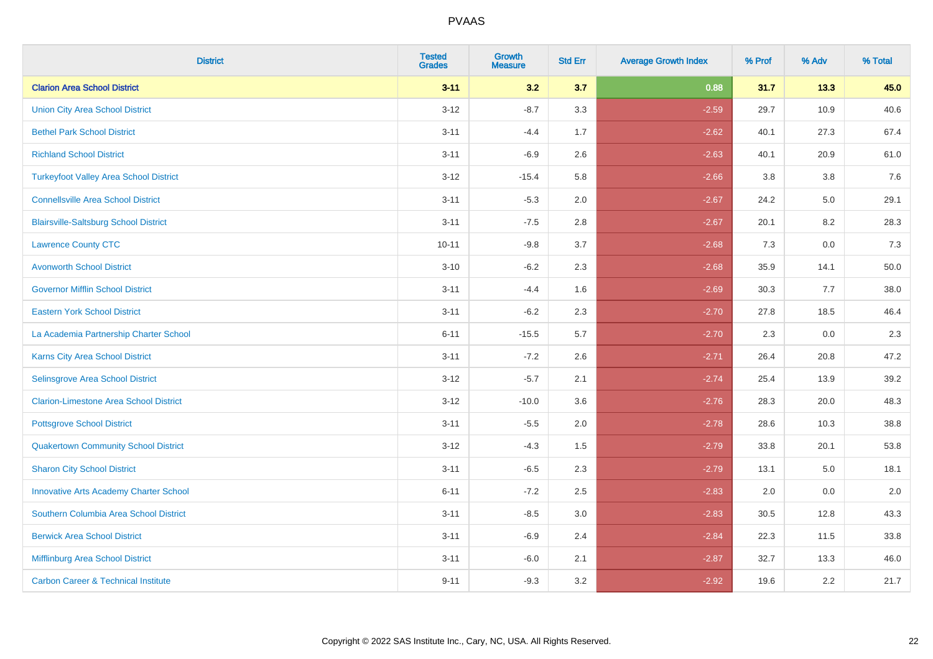| <b>District</b>                                | <b>Tested</b><br><b>Grades</b> | <b>Growth</b><br><b>Measure</b> | <b>Std Err</b> | <b>Average Growth Index</b> | % Prof | % Adv | % Total |
|------------------------------------------------|--------------------------------|---------------------------------|----------------|-----------------------------|--------|-------|---------|
| <b>Clarion Area School District</b>            | $3 - 11$                       | 3.2                             | 3.7            | 0.88                        | 31.7   | 13.3  | 45.0    |
| <b>Union City Area School District</b>         | $3 - 12$                       | $-8.7$                          | 3.3            | $-2.59$                     | 29.7   | 10.9  | 40.6    |
| <b>Bethel Park School District</b>             | $3 - 11$                       | $-4.4$                          | 1.7            | $-2.62$                     | 40.1   | 27.3  | 67.4    |
| <b>Richland School District</b>                | $3 - 11$                       | $-6.9$                          | 2.6            | $-2.63$                     | 40.1   | 20.9  | 61.0    |
| <b>Turkeyfoot Valley Area School District</b>  | $3 - 12$                       | $-15.4$                         | 5.8            | $-2.66$                     | 3.8    | 3.8   | 7.6     |
| <b>Connellsville Area School District</b>      | $3 - 11$                       | $-5.3$                          | 2.0            | $-2.67$                     | 24.2   | 5.0   | 29.1    |
| <b>Blairsville-Saltsburg School District</b>   | $3 - 11$                       | $-7.5$                          | 2.8            | $-2.67$                     | 20.1   | 8.2   | 28.3    |
| <b>Lawrence County CTC</b>                     | $10 - 11$                      | $-9.8$                          | 3.7            | $-2.68$                     | 7.3    | 0.0   | 7.3     |
| <b>Avonworth School District</b>               | $3 - 10$                       | $-6.2$                          | 2.3            | $-2.68$                     | 35.9   | 14.1  | 50.0    |
| <b>Governor Mifflin School District</b>        | $3 - 11$                       | $-4.4$                          | 1.6            | $-2.69$                     | 30.3   | 7.7   | 38.0    |
| <b>Eastern York School District</b>            | $3 - 11$                       | $-6.2$                          | 2.3            | $-2.70$                     | 27.8   | 18.5  | 46.4    |
| La Academia Partnership Charter School         | $6 - 11$                       | $-15.5$                         | 5.7            | $-2.70$                     | 2.3    | 0.0   | 2.3     |
| Karns City Area School District                | $3 - 11$                       | $-7.2$                          | 2.6            | $-2.71$                     | 26.4   | 20.8  | 47.2    |
| Selinsgrove Area School District               | $3 - 12$                       | $-5.7$                          | 2.1            | $-2.74$                     | 25.4   | 13.9  | 39.2    |
| <b>Clarion-Limestone Area School District</b>  | $3 - 12$                       | $-10.0$                         | 3.6            | $-2.76$                     | 28.3   | 20.0  | 48.3    |
| <b>Pottsgrove School District</b>              | $3 - 11$                       | $-5.5$                          | 2.0            | $-2.78$                     | 28.6   | 10.3  | 38.8    |
| <b>Quakertown Community School District</b>    | $3 - 12$                       | $-4.3$                          | 1.5            | $-2.79$                     | 33.8   | 20.1  | 53.8    |
| <b>Sharon City School District</b>             | $3 - 11$                       | $-6.5$                          | 2.3            | $-2.79$                     | 13.1   | 5.0   | 18.1    |
| <b>Innovative Arts Academy Charter School</b>  | $6 - 11$                       | $-7.2$                          | 2.5            | $-2.83$                     | 2.0    | 0.0   | 2.0     |
| Southern Columbia Area School District         | $3 - 11$                       | $-8.5$                          | 3.0            | $-2.83$                     | 30.5   | 12.8  | 43.3    |
| <b>Berwick Area School District</b>            | $3 - 11$                       | $-6.9$                          | 2.4            | $-2.84$                     | 22.3   | 11.5  | 33.8    |
| Mifflinburg Area School District               | $3 - 11$                       | $-6.0$                          | 2.1            | $-2.87$                     | 32.7   | 13.3  | 46.0    |
| <b>Carbon Career &amp; Technical Institute</b> | $9 - 11$                       | $-9.3$                          | 3.2            | $-2.92$                     | 19.6   | 2.2   | 21.7    |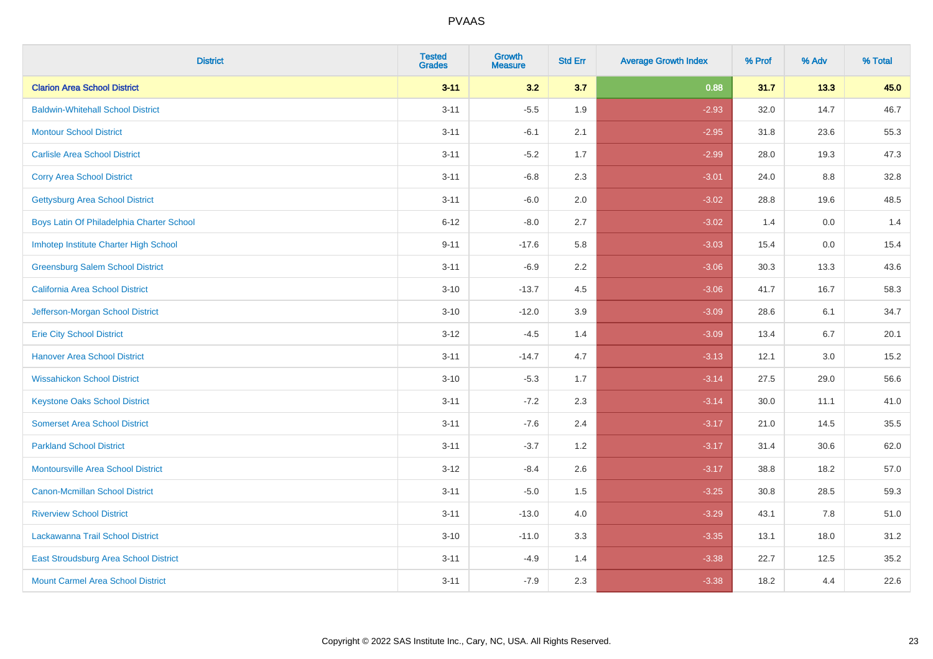| <b>District</b>                           | <b>Tested</b><br><b>Grades</b> | <b>Growth</b><br><b>Measure</b> | <b>Std Err</b> | <b>Average Growth Index</b> | % Prof | % Adv | % Total |
|-------------------------------------------|--------------------------------|---------------------------------|----------------|-----------------------------|--------|-------|---------|
| <b>Clarion Area School District</b>       | $3 - 11$                       | 3.2                             | 3.7            | 0.88                        | 31.7   | 13.3  | 45.0    |
| <b>Baldwin-Whitehall School District</b>  | $3 - 11$                       | $-5.5$                          | 1.9            | $-2.93$                     | 32.0   | 14.7  | 46.7    |
| <b>Montour School District</b>            | $3 - 11$                       | $-6.1$                          | 2.1            | $-2.95$                     | 31.8   | 23.6  | 55.3    |
| <b>Carlisle Area School District</b>      | $3 - 11$                       | $-5.2$                          | 1.7            | $-2.99$                     | 28.0   | 19.3  | 47.3    |
| <b>Corry Area School District</b>         | $3 - 11$                       | $-6.8$                          | 2.3            | $-3.01$                     | 24.0   | 8.8   | 32.8    |
| <b>Gettysburg Area School District</b>    | $3 - 11$                       | $-6.0$                          | 2.0            | $-3.02$                     | 28.8   | 19.6  | 48.5    |
| Boys Latin Of Philadelphia Charter School | $6 - 12$                       | $-8.0$                          | 2.7            | $-3.02$                     | 1.4    | 0.0   | 1.4     |
| Imhotep Institute Charter High School     | $9 - 11$                       | $-17.6$                         | 5.8            | $-3.03$                     | 15.4   | 0.0   | 15.4    |
| <b>Greensburg Salem School District</b>   | $3 - 11$                       | $-6.9$                          | 2.2            | $-3.06$                     | 30.3   | 13.3  | 43.6    |
| California Area School District           | $3 - 10$                       | $-13.7$                         | 4.5            | $-3.06$                     | 41.7   | 16.7  | 58.3    |
| Jefferson-Morgan School District          | $3 - 10$                       | $-12.0$                         | 3.9            | $-3.09$                     | 28.6   | 6.1   | 34.7    |
| <b>Erie City School District</b>          | $3 - 12$                       | $-4.5$                          | 1.4            | $-3.09$                     | 13.4   | 6.7   | 20.1    |
| <b>Hanover Area School District</b>       | $3 - 11$                       | $-14.7$                         | 4.7            | $-3.13$                     | 12.1   | 3.0   | 15.2    |
| <b>Wissahickon School District</b>        | $3 - 10$                       | $-5.3$                          | 1.7            | $-3.14$                     | 27.5   | 29.0  | 56.6    |
| <b>Keystone Oaks School District</b>      | $3 - 11$                       | $-7.2$                          | 2.3            | $-3.14$                     | 30.0   | 11.1  | 41.0    |
| <b>Somerset Area School District</b>      | $3 - 11$                       | $-7.6$                          | 2.4            | $-3.17$                     | 21.0   | 14.5  | 35.5    |
| <b>Parkland School District</b>           | $3 - 11$                       | $-3.7$                          | 1.2            | $-3.17$                     | 31.4   | 30.6  | 62.0    |
| <b>Montoursville Area School District</b> | $3 - 12$                       | $-8.4$                          | 2.6            | $-3.17$                     | 38.8   | 18.2  | 57.0    |
| <b>Canon-Mcmillan School District</b>     | $3 - 11$                       | $-5.0$                          | 1.5            | $-3.25$                     | 30.8   | 28.5  | 59.3    |
| <b>Riverview School District</b>          | $3 - 11$                       | $-13.0$                         | 4.0            | $-3.29$                     | 43.1   | 7.8   | 51.0    |
| Lackawanna Trail School District          | $3 - 10$                       | $-11.0$                         | 3.3            | $-3.35$                     | 13.1   | 18.0  | 31.2    |
| East Stroudsburg Area School District     | $3 - 11$                       | $-4.9$                          | 1.4            | $-3.38$                     | 22.7   | 12.5  | 35.2    |
| <b>Mount Carmel Area School District</b>  | $3 - 11$                       | $-7.9$                          | 2.3            | $-3.38$                     | 18.2   | 4.4   | 22.6    |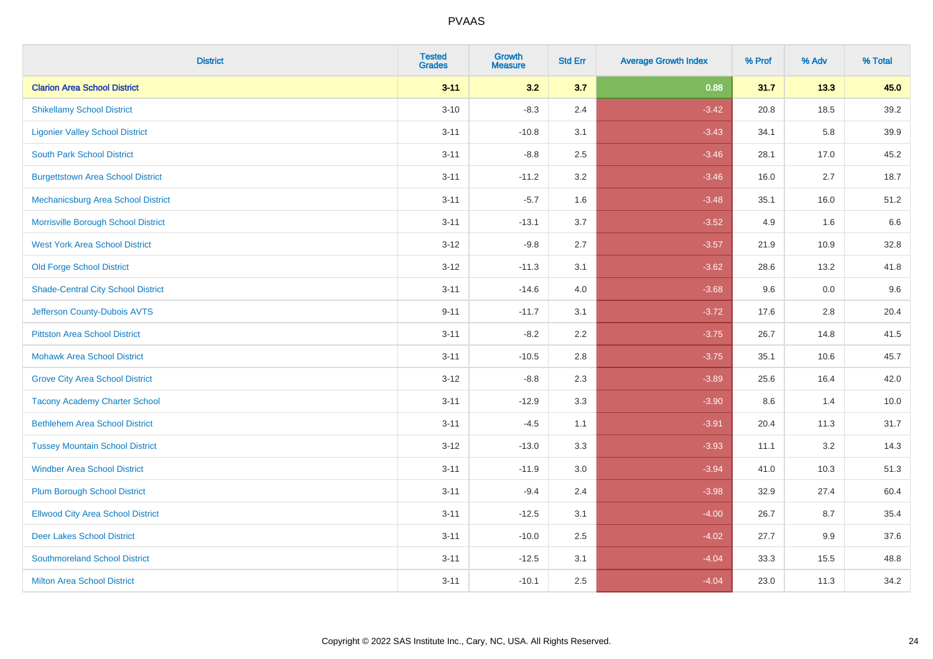| <b>District</b>                           | <b>Tested</b><br><b>Grades</b> | <b>Growth</b><br><b>Measure</b> | <b>Std Err</b> | <b>Average Growth Index</b> | % Prof | % Adv | % Total |
|-------------------------------------------|--------------------------------|---------------------------------|----------------|-----------------------------|--------|-------|---------|
| <b>Clarion Area School District</b>       | $3 - 11$                       | 3.2                             | 3.7            | 0.88                        | 31.7   | 13.3  | 45.0    |
| <b>Shikellamy School District</b>         | $3 - 10$                       | $-8.3$                          | 2.4            | $-3.42$                     | 20.8   | 18.5  | 39.2    |
| <b>Ligonier Valley School District</b>    | $3 - 11$                       | $-10.8$                         | 3.1            | $-3.43$                     | 34.1   | 5.8   | 39.9    |
| <b>South Park School District</b>         | $3 - 11$                       | $-8.8$                          | 2.5            | $-3.46$                     | 28.1   | 17.0  | 45.2    |
| <b>Burgettstown Area School District</b>  | $3 - 11$                       | $-11.2$                         | 3.2            | $-3.46$                     | 16.0   | 2.7   | 18.7    |
| Mechanicsburg Area School District        | $3 - 11$                       | $-5.7$                          | 1.6            | $-3.48$                     | 35.1   | 16.0  | 51.2    |
| Morrisville Borough School District       | $3 - 11$                       | $-13.1$                         | 3.7            | $-3.52$                     | 4.9    | 1.6   | 6.6     |
| <b>West York Area School District</b>     | $3 - 12$                       | $-9.8$                          | 2.7            | $-3.57$                     | 21.9   | 10.9  | 32.8    |
| <b>Old Forge School District</b>          | $3 - 12$                       | $-11.3$                         | 3.1            | $-3.62$                     | 28.6   | 13.2  | 41.8    |
| <b>Shade-Central City School District</b> | $3 - 11$                       | $-14.6$                         | 4.0            | $-3.68$                     | 9.6    | 0.0   | 9.6     |
| Jefferson County-Dubois AVTS              | $9 - 11$                       | $-11.7$                         | 3.1            | $-3.72$                     | 17.6   | 2.8   | 20.4    |
| <b>Pittston Area School District</b>      | $3 - 11$                       | $-8.2$                          | 2.2            | $-3.75$                     | 26.7   | 14.8  | 41.5    |
| <b>Mohawk Area School District</b>        | $3 - 11$                       | $-10.5$                         | 2.8            | $-3.75$                     | 35.1   | 10.6  | 45.7    |
| <b>Grove City Area School District</b>    | $3 - 12$                       | $-8.8$                          | 2.3            | $-3.89$                     | 25.6   | 16.4  | 42.0    |
| <b>Tacony Academy Charter School</b>      | $3 - 11$                       | $-12.9$                         | 3.3            | $-3.90$                     | 8.6    | 1.4   | 10.0    |
| <b>Bethlehem Area School District</b>     | $3 - 11$                       | $-4.5$                          | 1.1            | $-3.91$                     | 20.4   | 11.3  | 31.7    |
| <b>Tussey Mountain School District</b>    | $3 - 12$                       | $-13.0$                         | 3.3            | $-3.93$                     | 11.1   | 3.2   | 14.3    |
| <b>Windber Area School District</b>       | $3 - 11$                       | $-11.9$                         | 3.0            | $-3.94$                     | 41.0   | 10.3  | 51.3    |
| <b>Plum Borough School District</b>       | $3 - 11$                       | $-9.4$                          | 2.4            | $-3.98$                     | 32.9   | 27.4  | 60.4    |
| <b>Ellwood City Area School District</b>  | $3 - 11$                       | $-12.5$                         | 3.1            | $-4.00$                     | 26.7   | 8.7   | 35.4    |
| <b>Deer Lakes School District</b>         | $3 - 11$                       | $-10.0$                         | 2.5            | $-4.02$                     | 27.7   | 9.9   | 37.6    |
| <b>Southmoreland School District</b>      | $3 - 11$                       | $-12.5$                         | 3.1            | $-4.04$                     | 33.3   | 15.5  | 48.8    |
| <b>Milton Area School District</b>        | $3 - 11$                       | $-10.1$                         | 2.5            | $-4.04$                     | 23.0   | 11.3  | 34.2    |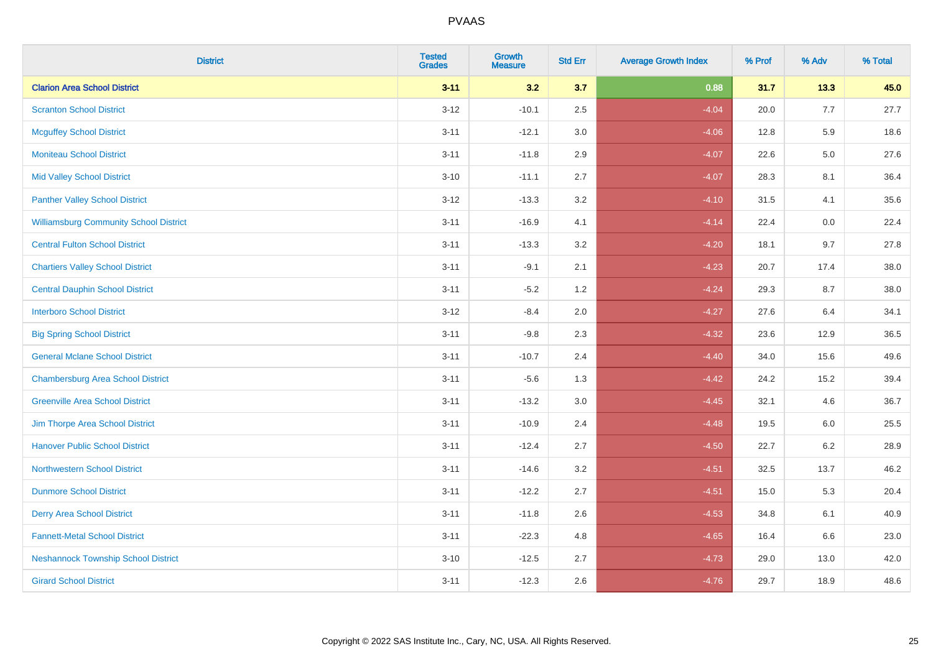| <b>District</b>                               | <b>Tested</b><br><b>Grades</b> | <b>Growth</b><br><b>Measure</b> | <b>Std Err</b> | <b>Average Growth Index</b> | % Prof | % Adv   | % Total |
|-----------------------------------------------|--------------------------------|---------------------------------|----------------|-----------------------------|--------|---------|---------|
| <b>Clarion Area School District</b>           | $3 - 11$                       | 3.2                             | 3.7            | 0.88                        | 31.7   | 13.3    | 45.0    |
| <b>Scranton School District</b>               | $3 - 12$                       | $-10.1$                         | 2.5            | $-4.04$                     | 20.0   | 7.7     | 27.7    |
| <b>Mcguffey School District</b>               | $3 - 11$                       | $-12.1$                         | 3.0            | $-4.06$                     | 12.8   | 5.9     | 18.6    |
| <b>Moniteau School District</b>               | $3 - 11$                       | $-11.8$                         | 2.9            | $-4.07$                     | 22.6   | $5.0\,$ | 27.6    |
| <b>Mid Valley School District</b>             | $3 - 10$                       | $-11.1$                         | 2.7            | $-4.07$                     | 28.3   | 8.1     | 36.4    |
| <b>Panther Valley School District</b>         | $3 - 12$                       | $-13.3$                         | 3.2            | $-4.10$                     | 31.5   | 4.1     | 35.6    |
| <b>Williamsburg Community School District</b> | $3 - 11$                       | $-16.9$                         | 4.1            | $-4.14$                     | 22.4   | 0.0     | 22.4    |
| <b>Central Fulton School District</b>         | $3 - 11$                       | $-13.3$                         | 3.2            | $-4.20$                     | 18.1   | 9.7     | 27.8    |
| <b>Chartiers Valley School District</b>       | $3 - 11$                       | $-9.1$                          | 2.1            | $-4.23$                     | 20.7   | 17.4    | 38.0    |
| <b>Central Dauphin School District</b>        | $3 - 11$                       | $-5.2$                          | 1.2            | $-4.24$                     | 29.3   | 8.7     | 38.0    |
| <b>Interboro School District</b>              | $3 - 12$                       | $-8.4$                          | 2.0            | $-4.27$                     | 27.6   | 6.4     | 34.1    |
| <b>Big Spring School District</b>             | $3 - 11$                       | $-9.8$                          | 2.3            | $-4.32$                     | 23.6   | 12.9    | 36.5    |
| <b>General Mclane School District</b>         | $3 - 11$                       | $-10.7$                         | 2.4            | $-4.40$                     | 34.0   | 15.6    | 49.6    |
| <b>Chambersburg Area School District</b>      | $3 - 11$                       | $-5.6$                          | 1.3            | $-4.42$                     | 24.2   | 15.2    | 39.4    |
| <b>Greenville Area School District</b>        | $3 - 11$                       | $-13.2$                         | 3.0            | $-4.45$                     | 32.1   | 4.6     | 36.7    |
| Jim Thorpe Area School District               | $3 - 11$                       | $-10.9$                         | 2.4            | $-4.48$                     | 19.5   | 6.0     | 25.5    |
| <b>Hanover Public School District</b>         | $3 - 11$                       | $-12.4$                         | 2.7            | $-4.50$                     | 22.7   | 6.2     | 28.9    |
| <b>Northwestern School District</b>           | $3 - 11$                       | $-14.6$                         | 3.2            | $-4.51$                     | 32.5   | 13.7    | 46.2    |
| <b>Dunmore School District</b>                | $3 - 11$                       | $-12.2$                         | 2.7            | $-4.51$                     | 15.0   | 5.3     | 20.4    |
| <b>Derry Area School District</b>             | $3 - 11$                       | $-11.8$                         | 2.6            | $-4.53$                     | 34.8   | 6.1     | 40.9    |
| <b>Fannett-Metal School District</b>          | $3 - 11$                       | $-22.3$                         | 4.8            | $-4.65$                     | 16.4   | 6.6     | 23.0    |
| <b>Neshannock Township School District</b>    | $3 - 10$                       | $-12.5$                         | 2.7            | $-4.73$                     | 29.0   | 13.0    | 42.0    |
| <b>Girard School District</b>                 | $3 - 11$                       | $-12.3$                         | 2.6            | $-4.76$                     | 29.7   | 18.9    | 48.6    |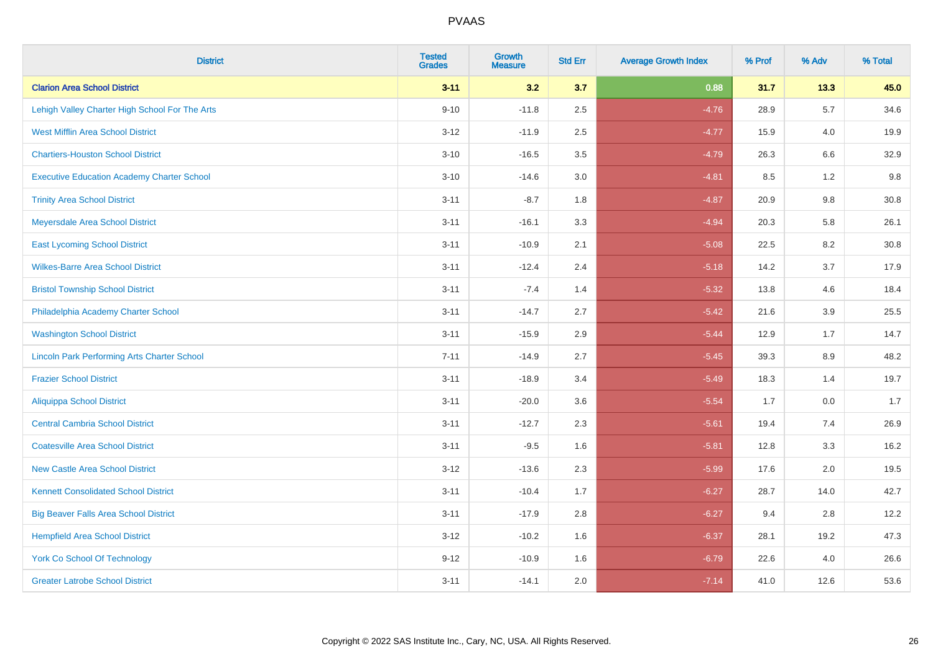| <b>District</b>                                    | <b>Tested</b><br><b>Grades</b> | <b>Growth</b><br><b>Measure</b> | <b>Std Err</b> | <b>Average Growth Index</b> | % Prof | % Adv   | % Total |
|----------------------------------------------------|--------------------------------|---------------------------------|----------------|-----------------------------|--------|---------|---------|
| <b>Clarion Area School District</b>                | $3 - 11$                       | 3.2                             | 3.7            | 0.88                        | 31.7   | 13.3    | 45.0    |
| Lehigh Valley Charter High School For The Arts     | $9 - 10$                       | $-11.8$                         | 2.5            | $-4.76$                     | 28.9   | 5.7     | 34.6    |
| <b>West Mifflin Area School District</b>           | $3 - 12$                       | $-11.9$                         | 2.5            | $-4.77$                     | 15.9   | 4.0     | 19.9    |
| <b>Chartiers-Houston School District</b>           | $3 - 10$                       | $-16.5$                         | 3.5            | $-4.79$                     | 26.3   | 6.6     | 32.9    |
| <b>Executive Education Academy Charter School</b>  | $3 - 10$                       | $-14.6$                         | 3.0            | $-4.81$                     | 8.5    | 1.2     | 9.8     |
| <b>Trinity Area School District</b>                | $3 - 11$                       | $-8.7$                          | 1.8            | $-4.87$                     | 20.9   | 9.8     | 30.8    |
| Meyersdale Area School District                    | $3 - 11$                       | $-16.1$                         | 3.3            | $-4.94$                     | 20.3   | 5.8     | 26.1    |
| <b>East Lycoming School District</b>               | $3 - 11$                       | $-10.9$                         | 2.1            | $-5.08$                     | 22.5   | 8.2     | 30.8    |
| <b>Wilkes-Barre Area School District</b>           | $3 - 11$                       | $-12.4$                         | 2.4            | $-5.18$                     | 14.2   | 3.7     | 17.9    |
| <b>Bristol Township School District</b>            | $3 - 11$                       | $-7.4$                          | 1.4            | $-5.32$                     | 13.8   | 4.6     | 18.4    |
| Philadelphia Academy Charter School                | $3 - 11$                       | $-14.7$                         | 2.7            | $-5.42$                     | 21.6   | 3.9     | 25.5    |
| <b>Washington School District</b>                  | $3 - 11$                       | $-15.9$                         | 2.9            | $-5.44$                     | 12.9   | 1.7     | 14.7    |
| <b>Lincoln Park Performing Arts Charter School</b> | $7 - 11$                       | $-14.9$                         | 2.7            | $-5.45$                     | 39.3   | $8.9\,$ | 48.2    |
| <b>Frazier School District</b>                     | $3 - 11$                       | $-18.9$                         | 3.4            | $-5.49$                     | 18.3   | 1.4     | 19.7    |
| <b>Aliquippa School District</b>                   | $3 - 11$                       | $-20.0$                         | 3.6            | $-5.54$                     | 1.7    | 0.0     | 1.7     |
| <b>Central Cambria School District</b>             | $3 - 11$                       | $-12.7$                         | 2.3            | $-5.61$                     | 19.4   | 7.4     | 26.9    |
| <b>Coatesville Area School District</b>            | $3 - 11$                       | $-9.5$                          | 1.6            | $-5.81$                     | 12.8   | 3.3     | 16.2    |
| <b>New Castle Area School District</b>             | $3 - 12$                       | $-13.6$                         | 2.3            | $-5.99$                     | 17.6   | 2.0     | 19.5    |
| <b>Kennett Consolidated School District</b>        | $3 - 11$                       | $-10.4$                         | 1.7            | $-6.27$                     | 28.7   | 14.0    | 42.7    |
| <b>Big Beaver Falls Area School District</b>       | $3 - 11$                       | $-17.9$                         | 2.8            | $-6.27$                     | 9.4    | 2.8     | 12.2    |
| <b>Hempfield Area School District</b>              | $3 - 12$                       | $-10.2$                         | 1.6            | $-6.37$                     | 28.1   | 19.2    | 47.3    |
| York Co School Of Technology                       | $9 - 12$                       | $-10.9$                         | 1.6            | $-6.79$                     | 22.6   | 4.0     | 26.6    |
| <b>Greater Latrobe School District</b>             | $3 - 11$                       | $-14.1$                         | 2.0            | $-7.14$                     | 41.0   | 12.6    | 53.6    |